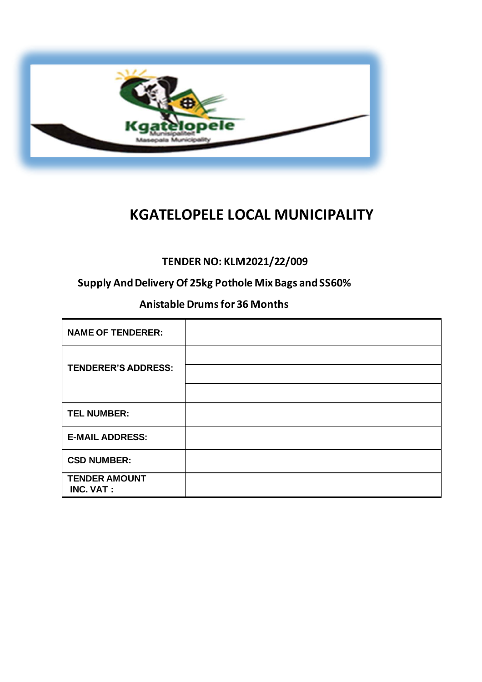

# **KGATELOPELE LOCAL MUNICIPALITY**

# **TENDER NO: KLM2021/22/009**

# **Supply And Delivery Of 25kg Pothole Mix Bags and SS60%**

# **Anistable Drums for 36 Months**

| <b>NAME OF TENDERER:</b>          |  |
|-----------------------------------|--|
| <b>TENDERER'S ADDRESS:</b>        |  |
|                                   |  |
| <b>TEL NUMBER:</b>                |  |
| <b>E-MAIL ADDRESS:</b>            |  |
| <b>CSD NUMBER:</b>                |  |
| <b>TENDER AMOUNT</b><br>INC. VAT: |  |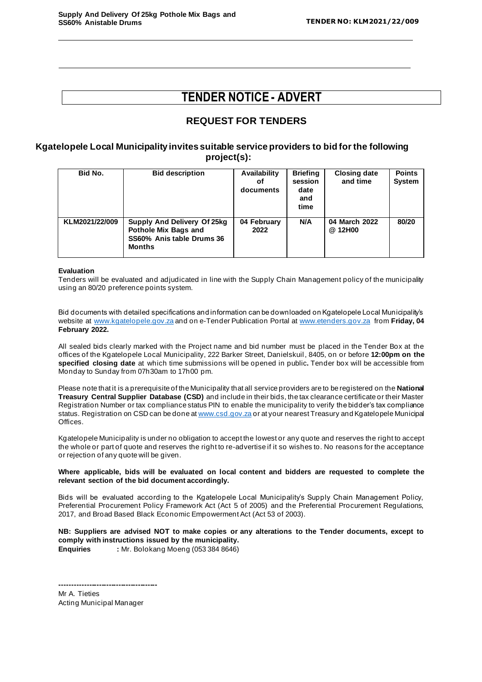# **TENDER NOTICE - ADVERT**

# **REQUEST FOR TENDERS**

#### **Kgatelopele Local Municipality invites suitable service providers to bid for the following project(s):**

| Bid No.        | <b>Bid description</b>                                                                                   | Availability<br>οf<br>documents | <b>Briefing</b><br>session<br>date<br>and<br>time | <b>Closing date</b><br>and time | <b>Points</b><br><b>System</b> |
|----------------|----------------------------------------------------------------------------------------------------------|---------------------------------|---------------------------------------------------|---------------------------------|--------------------------------|
| KLM2021/22/009 | Supply And Delivery Of 25kg<br><b>Pothole Mix Bags and</b><br>SS60% Anis table Drums 36<br><b>Months</b> | 04 February<br>2022             | N/A                                               | 04 March 2022<br>@ 12H00        | 80/20                          |

#### **Evaluation**

Tenders will be evaluated and adjudicated in line with the Supply Chain Management policy of the municipality using an 80/20 preference points system.

Bid documents with detailed specifications and information can be downloaded on Kgatelopele Local Municipality's website at [www.kgatelopele.gov.za](http://www.kgatelopele.gov.za/) and on e-Tender Publication Portal a[t www.etenders.gov.za](http://www.etenders.gov.za/) from **Friday, 04 February 2022.**

All sealed bids clearly marked with the Project name and bid number must be placed in the Tender Box at the offices of the Kgatelopele Local Municipality, 222 Barker Street, Danielskuil, 8405, on or before **12:00pm on the specified closing date** at which time submissions will be opened in public**.** Tender box will be accessible from Monday to Sunday from 07h30am to 17h00 pm.

Please note that it is a prerequisite of the Municipality that all service providers are to be registered on the **National Treasury Central Supplier Database (CSD)** and include in their bids, the tax clearance certificate or their Master Registration Number or tax compliance status PIN to enable the municipality to verify the bidder's tax compliance status. Registration on CSD can be done a[t www.csd.gov.za](http://www.csd.gov.za/) or at your nearest Treasury and Kgatelopele Municipal Offices.

Kgatelopele Municipality is under no obligation to accept the lowest or any quote and reserves the right to accept the whole or part of quote and reserves the right to re-advertise if it so wishes to. No reasons for the acceptance or rejection of any quote will be given.

#### **Where applicable, bids will be evaluated on local content and bidders are requested to complete the relevant section of the bid document accordingly.**

Bids will be evaluated according to the Kgatelopele Local Municipality's Supply Chain Management Policy, Preferential Procurement Policy Framework Act (Act 5 of 2005) and the Preferential Procurement Regulations, 2017, and Broad Based Black Economic Empowerment Act (Act 53 of 2003).

#### **NB: Suppliers are advised NOT to make copies or any alterations to the Tender documents, except to comply with instructions issued by the municipality. Enquiries :** Mr. Bolokang Moeng (053 384 8646)

**----------------------------------------** Mr A. Tieties Acting Municipal Manager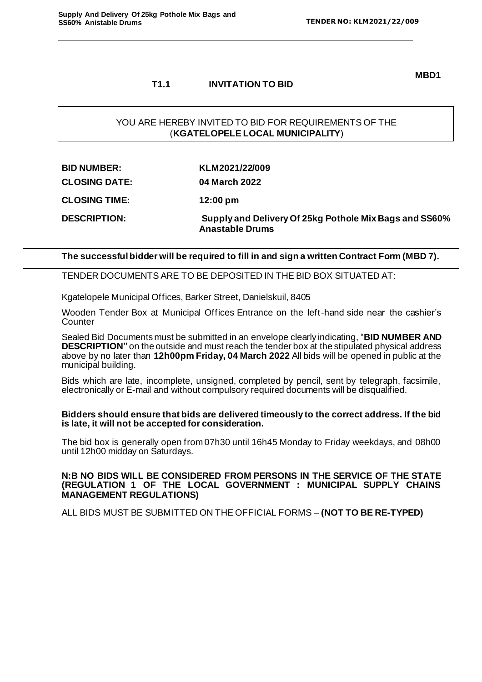#### **MBD1**

#### **T1.1 INVITATION TO BID**

# YOU ARE HEREBY INVITED TO BID FOR REQUIREMENTS OF THE (**KGATELOPELE LOCAL MUNICIPALITY**)

**BID NUMBER: KLM2021/22/009 CLOSING DATE: 04 March 2022 CLOSING TIME: 12:00 pm**

**DESCRIPTION: Supply and Delivery Of 25kg Pothole Mix Bags and SS60% Anastable Drums**

#### **The successful bidder will be required to fill in and sign a written Contract Form (MBD 7).**

### TENDER DOCUMENTS ARE TO BE DEPOSITED IN THE BID BOX SITUATED AT:

Kgatelopele Municipal Offices, Barker Street, Danielskuil, 8405

Wooden Tender Box at Municipal Offices Entrance on the left-hand side near the cashier's **Counter** 

Sealed Bid Documents must be submitted in an envelope clearly indicating, "**BID NUMBER AND DESCRIPTION"** on the outside and must reach the tender box at the stipulated physical address above by no later than **12h00pm Friday, 04 March 2022** All bids will be opened in public at the municipal building.

Bids which are late, incomplete, unsigned, completed by pencil, sent by telegraph, facsimile, electronically or E-mail and without compulsory required documents will be disqualified.

#### **Bidders should ensure that bids are delivered timeously to the correct address. If the bid is late, it will not be accepted for consideration.**

The bid box is generally open from 07h30 until 16h45 Monday to Friday weekdays, and 08h00 until 12h00 midday on Saturdays.

#### **N:B NO BIDS WILL BE CONSIDERED FROM PERSONS IN THE SERVICE OF THE STATE (REGULATION 1 OF THE LOCAL GOVERNMENT : MUNICIPAL SUPPLY CHAINS MANAGEMENT REGULATIONS)**

ALL BIDS MUST BE SUBMITTED ON THE OFFICIAL FORMS – **(NOT TO BE RE-TYPED)**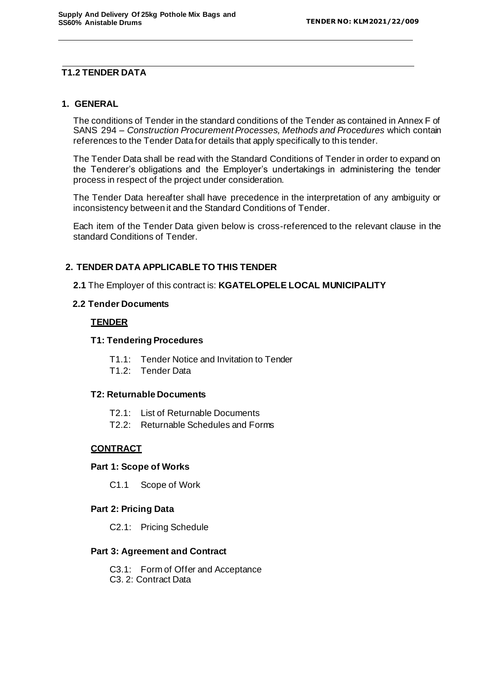### **T1.2 TENDER DATA**

#### **1. GENERAL**

The conditions of Tender in the standard conditions of the Tender as contained in Annex F of SANS 294 – *Construction Procurement Processes, Methods and Procedures* which contain references to the Tender Data for details that apply specifically to this tender.

The Tender Data shall be read with the Standard Conditions of Tender in order to expand on the Tenderer's obligations and the Employer's undertakings in administering the tender process in respect of the project under consideration.

The Tender Data hereafter shall have precedence in the interpretation of any ambiguity or inconsistency between it and the Standard Conditions of Tender.

Each item of the Tender Data given below is cross-referenced to the relevant clause in the standard Conditions of Tender.

# **2. TENDER DATA APPLICABLE TO THIS TENDER**

### **2.1** The Employer of this contract is: **KGATELOPELE LOCAL MUNICIPALITY**

#### **2.2 Tender Documents**

#### **TENDER**

#### **T1: Tendering Procedures**

- T1.1: Tender Notice and Invitation to Tender
- T1.2: Tender Data

#### **T2: Returnable Documents**

- T2.1: List of Returnable Documents
- T2.2: Returnable Schedules and Forms

### **CONTRACT**

#### **Part 1: Scope of Works**

C1.1 Scope of Work

#### **Part 2: Pricing Data**

C2.1: Pricing Schedule

#### **Part 3: Agreement and Contract**

C3.1: Form of Offer and Acceptance C3. 2: Contract Data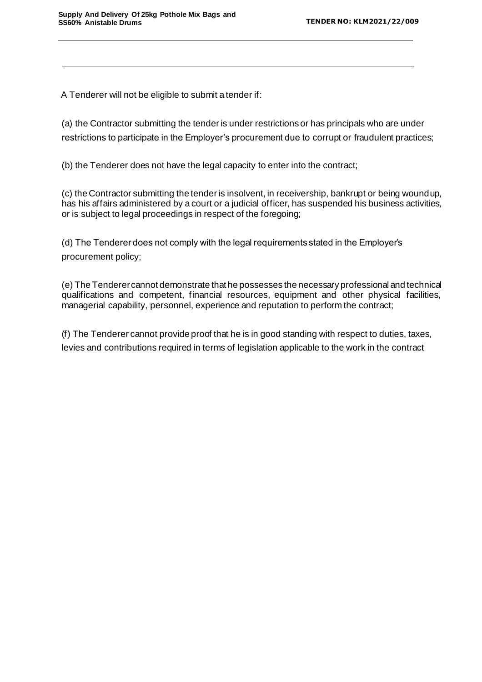A Tenderer will not be eligible to submit a tender if:

(a) the Contractor submitting the tender is under restrictions or has principals who are under restrictions to participate in the Employer's procurement due to corrupt or fraudulent practices;

(b) the Tenderer does not have the legal capacity to enter into the contract;

(c) the Contractor submitting the tender is insolvent, in receivership, bankrupt or being woundup, has his affairs administered by a court or a judicial officer, has suspended his business activities, or is subject to legal proceedings in respect of the foregoing;

(d) The Tenderer does not comply with the legal requirements stated in the Employer's procurement policy;

(e) The Tenderercannot demonstrate that he possesses the necessary professional and technical qualifications and competent, financial resources, equipment and other physical facilities, managerial capability, personnel, experience and reputation to perform the contract;

(f) The Tenderer cannot provide proof that he is in good standing with respect to duties, taxes, levies and contributions required in terms of legislation applicable to the work in the contract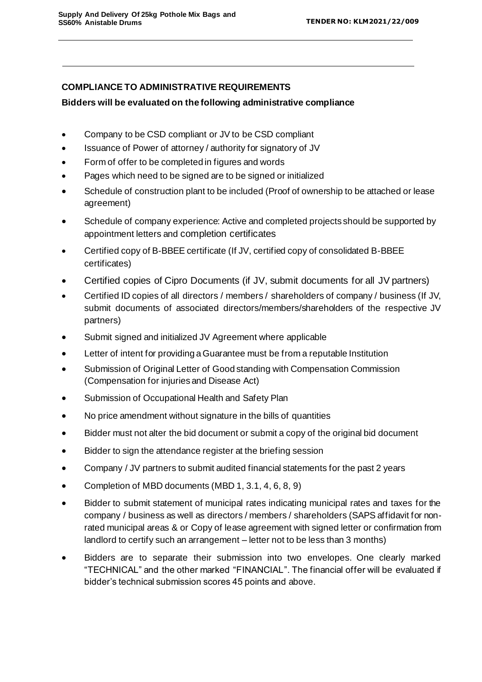# **COMPLIANCE TO ADMINISTRATIVE REQUIREMENTS**

# **Bidders will be evaluated on the following administrative compliance**

- Company to be CSD compliant or JV to be CSD compliant
- Issuance of Power of attorney / authority for signatory of JV
- Form of offer to be completed in figures and words
- Pages which need to be signed are to be signed or initialized
- Schedule of construction plant to be included (Proof of ownership to be attached or lease agreement)
- Schedule of company experience: Active and completed projects should be supported by appointment letters and completion certificates
- Certified copy of B-BBEE certificate (If JV, certified copy of consolidated B-BBEE certificates)
- Certified copies of Cipro Documents (if JV, submit documents for all JV partners)
- Certified ID copies of all directors / members / shareholders of company / business (If JV, submit documents of associated directors/members/shareholders of the respective JV partners)
- Submit signed and initialized JV Agreement where applicable
- Letter of intent for providing a Guarantee must be from a reputable Institution
- Submission of Original Letter of Good standing with Compensation Commission (Compensation for injuries and Disease Act)
- Submission of Occupational Health and Safety Plan
- No price amendment without signature in the bills of quantities
- Bidder must not alter the bid document or submit a copy of the original bid document
- Bidder to sign the attendance register at the briefing session
- Company / JV partners to submit audited financial statements for the past 2 years
- Completion of MBD documents (MBD 1, 3.1, 4, 6, 8, 9)
- Bidder to submit statement of municipal rates indicating municipal rates and taxes for the company / business as well as directors / members / shareholders (SAPS affidavit for nonrated municipal areas & or Copy of lease agreement with signed letter or confirmation from landlord to certify such an arrangement – letter not to be less than 3 months)
- Bidders are to separate their submission into two envelopes. One clearly marked "TECHNICAL" and the other marked "FINANCIAL". The financial offer will be evaluated if bidder's technical submission scores 45 points and above.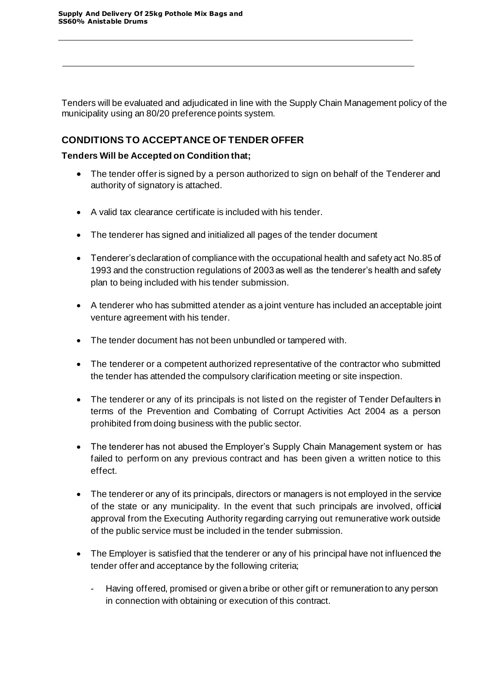Tenders will be evaluated and adjudicated in line with the Supply Chain Management policy of the municipality using an 80/20 preference points system.

# **CONDITIONS TO ACCEPTANCE OF TENDER OFFER**

#### **Tenders Will be Accepted on Condition that;**

- The tender offer is signed by a person authorized to sign on behalf of the Tenderer and authority of signatory is attached.
- A valid tax clearance certificate is included with his tender.
- The tenderer has signed and initialized all pages of the tender document
- Tenderer's declaration of compliance with the occupational health and safety act No.85 of 1993 and the construction regulations of 2003 as well as the tenderer's health and safety plan to being included with his tender submission.
- A tenderer who has submitted atender as a joint venture has included an acceptable joint venture agreement with his tender.
- The tender document has not been unbundled or tampered with.
- The tenderer or a competent authorized representative of the contractor who submitted the tender has attended the compulsory clarification meeting or site inspection.
- The tenderer or any of its principals is not listed on the register of Tender Defaulters in terms of the Prevention and Combating of Corrupt Activities Act 2004 as a person prohibited from doing business with the public sector.
- The tenderer has not abused the Employer's Supply Chain Management system or has failed to perform on any previous contract and has been given a written notice to this effect.
- The tenderer or any of its principals, directors or managers is not employed in the service of the state or any municipality. In the event that such principals are involved, official approval from the Executing Authority regarding carrying out remunerative work outside of the public service must be included in the tender submission.
- The Employer is satisfied that the tenderer or any of his principal have not influenced the tender offer and acceptance by the following criteria;
	- Having offered, promised or given a bribe or other gift or remuneration to any person in connection with obtaining or execution of this contract.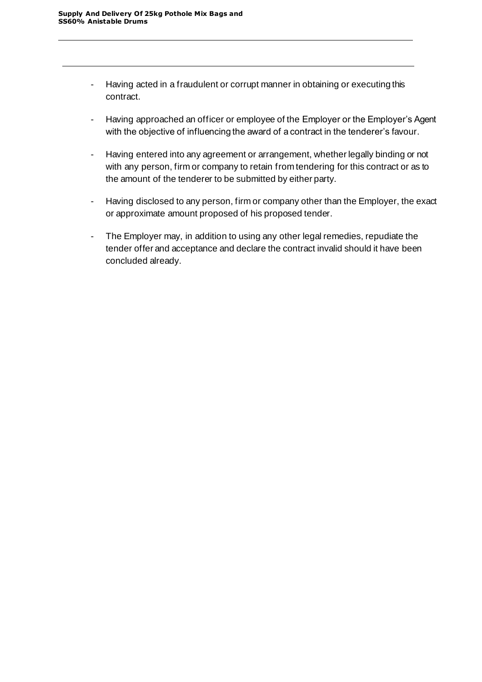- Having acted in a fraudulent or corrupt manner in obtaining or executing this contract.
- Having approached an officer or employee of the Employer or the Employer's Agent with the objective of influencing the award of a contract in the tenderer's favour.
- Having entered into any agreement or arrangement, whether legally binding or not with any person, firm or company to retain from tendering for this contract or as to the amount of the tenderer to be submitted by either party.
- Having disclosed to any person, firm or company other than the Employer, the exact or approximate amount proposed of his proposed tender.
- The Employer may, in addition to using any other legal remedies, repudiate the tender offer and acceptance and declare the contract invalid should it have been concluded already.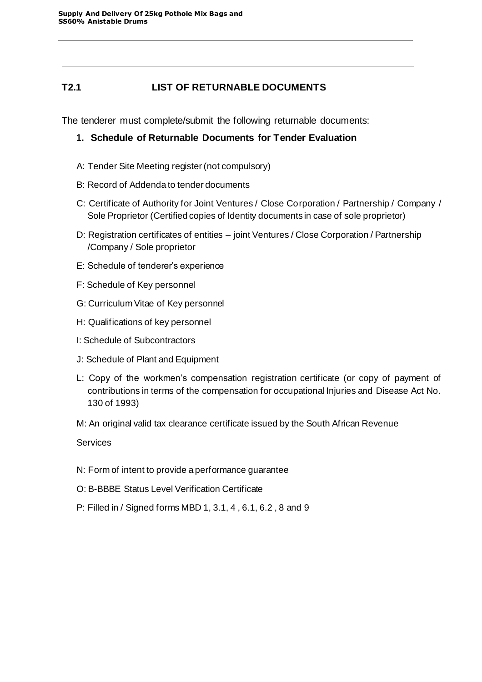# **T2.1 LIST OF RETURNABLE DOCUMENTS**

The tenderer must complete/submit the following returnable documents:

- **1. Schedule of Returnable Documents for Tender Evaluation**
- A: Tender Site Meeting register (not compulsory)
- B: Record of Addenda to tender documents
- C: Certificate of Authority for Joint Ventures / Close Corporation / Partnership / Company / Sole Proprietor (Certified copies of Identity documents in case of sole proprietor)
- D: Registration certificates of entities joint Ventures / Close Corporation / Partnership /Company / Sole proprietor
- E: Schedule of tenderer's experience
- F: Schedule of Key personnel
- G: Curriculum Vitae of Key personnel
- H: Qualifications of key personnel
- I: Schedule of Subcontractors
- J: Schedule of Plant and Equipment
- L: Copy of the workmen's compensation registration certificate (or copy of payment of contributions in terms of the compensation for occupational Injuries and Disease Act No. 130 of 1993)
- M: An original valid tax clearance certificate issued by the South African Revenue

**Services** 

- N: Form of intent to provide a performance guarantee
- O: B-BBBE Status Level Verification Certificate
- P: Filled in / Signed forms MBD 1, 3.1, 4 , 6.1, 6.2 , 8 and 9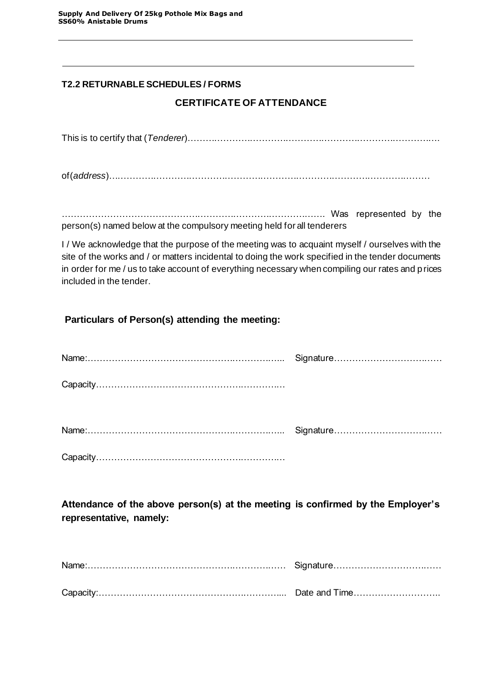# **T2.2 RETURNABLE SCHEDULES / FORMS**

# **CERTIFICATE OF ATTENDANCE**

This is to certify that (*Tenderer*)………………………………………………………………………….

of(*address*)………………………………………………………………………………………………

……………………………………………………………………………. Was represented by the person(s) named below at the compulsory meeting held for all tenderers

I / We acknowledge that the purpose of the meeting was to acquaint myself / ourselves with the site of the works and / or matters incidental to doing the work specified in the tender documents in order for me / us to take account of everything necessary when compiling our rates and prices included in the tender.

# **Particulars of Person(s) attending the meeting:**

**Attendance of the above person(s) at the meeting is confirmed by the Employer's representative, namely:**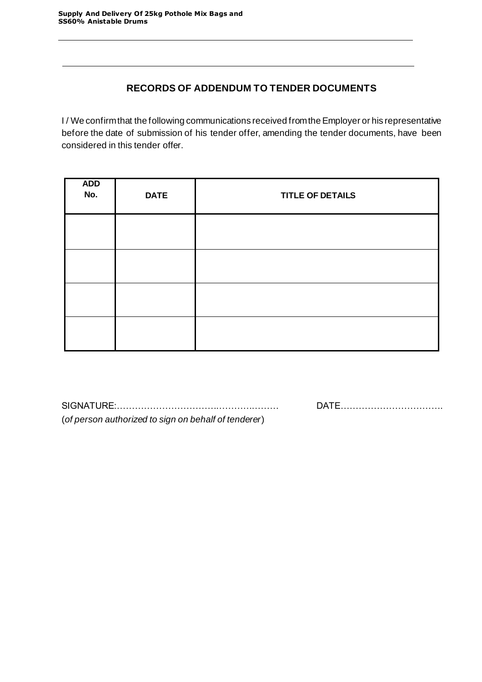# **RECORDS OF ADDENDUM TO TENDER DOCUMENTS**

I/We confirm that the following communications received from the Employer or his representative before the date of submission of his tender offer, amending the tender documents, have been considered in this tender offer.

| <b>ADD</b><br>No. | <b>DATE</b> | <b>TITLE OF DETAILS</b> |
|-------------------|-------------|-------------------------|
|                   |             |                         |
|                   |             |                         |
|                   |             |                         |
|                   |             |                         |

SIGNATURE:……………………………………………… DATE……………………………. (*of person authorized to sign on behalf of tenderer*)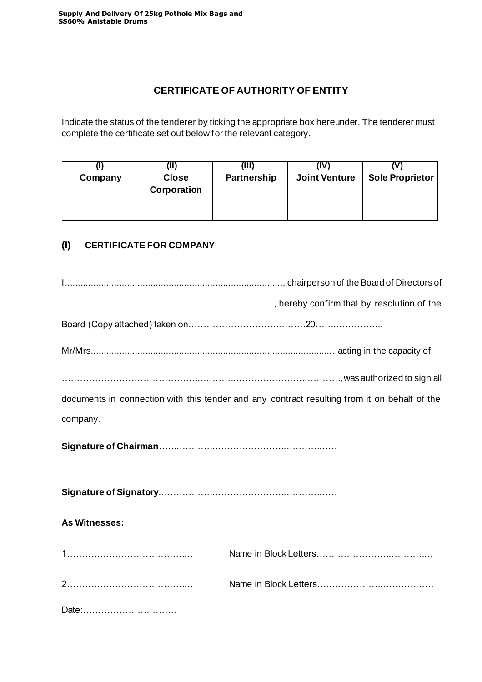# **CERTIFICATE OF AUTHORITY OF ENTITY**

Indicate the status of the tenderer by ticking the appropriate box hereunder. The tenderer must complete the certificate set out below for the relevant category.

| Company | W)<br><b>Close</b><br>Corporation | (III)<br>Partnership | (IV)<br><b>Joint Venture</b> | <b>Sole Proprietor</b> |
|---------|-----------------------------------|----------------------|------------------------------|------------------------|
|         |                                   |                      |                              |                        |

# **(I) CERTIFICATE FOR COMPANY**

|                      | was authorized to sign all and the sign all                                                  |  |  |  |  |  |
|----------------------|----------------------------------------------------------------------------------------------|--|--|--|--|--|
|                      | documents in connection with this tender and any contract resulting from it on behalf of the |  |  |  |  |  |
| company.             |                                                                                              |  |  |  |  |  |
|                      |                                                                                              |  |  |  |  |  |
|                      |                                                                                              |  |  |  |  |  |
| <b>As Witnesses:</b> |                                                                                              |  |  |  |  |  |
|                      |                                                                                              |  |  |  |  |  |
|                      |                                                                                              |  |  |  |  |  |
| Date:                |                                                                                              |  |  |  |  |  |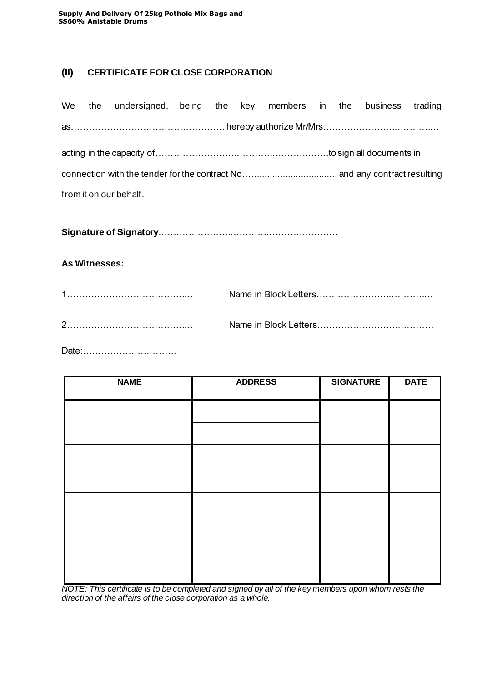# **(II) CERTIFICATE FOR CLOSE CORPORATION**

|                        |  | We the undersigned, being the key members in the business trading |  |  |  |  |  |  |  |
|------------------------|--|-------------------------------------------------------------------|--|--|--|--|--|--|--|
|                        |  |                                                                   |  |  |  |  |  |  |  |
|                        |  |                                                                   |  |  |  |  |  |  |  |
|                        |  |                                                                   |  |  |  |  |  |  |  |
| from it on our behalf. |  |                                                                   |  |  |  |  |  |  |  |

**Signature of Signatory**……………………………………………………

# **As Witnesses:**

| C |  |
|---|--|

Date:………………………….

| <b>NAME</b> | <b>ADDRESS</b> | <b>SIGNATURE</b> | <b>DATE</b> |  |
|-------------|----------------|------------------|-------------|--|
|             |                |                  |             |  |
|             |                |                  |             |  |
|             |                |                  |             |  |
|             |                |                  |             |  |
|             |                |                  |             |  |
|             |                |                  |             |  |
|             |                |                  |             |  |
|             |                |                  |             |  |

*NOTE: This certificate is to be completed and signed by all of the key members upon whom rests the direction of the affairs of the close corporation as a whole.*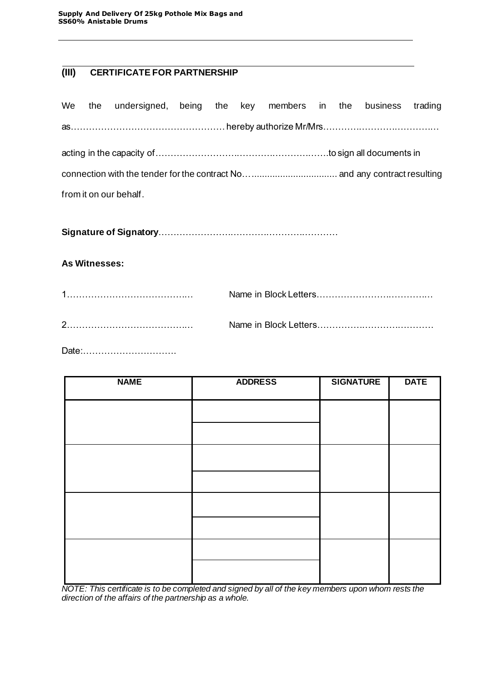# **(III) CERTIFICATE FOR PARTNERSHIP**

|                        |  | We the undersigned, being the key members in the business trading |  |  |  |  |  |  |  |
|------------------------|--|-------------------------------------------------------------------|--|--|--|--|--|--|--|
|                        |  |                                                                   |  |  |  |  |  |  |  |
|                        |  |                                                                   |  |  |  |  |  |  |  |
|                        |  |                                                                   |  |  |  |  |  |  |  |
| from it on our behalf. |  |                                                                   |  |  |  |  |  |  |  |

**Signature of Signatory**……………………………………………………

#### **As Witnesses:**

| C |  |
|---|--|

Date:………………………….

| <b>NAME</b> | <b>ADDRESS</b> | <b>SIGNATURE</b> | <b>DATE</b> |
|-------------|----------------|------------------|-------------|
|             |                |                  |             |
|             |                |                  |             |
|             |                |                  |             |
|             |                |                  |             |
|             |                |                  |             |
|             |                |                  |             |
|             |                |                  |             |
|             |                |                  |             |

*NOTE: This certificate is to be completed and signed by all of the key members upon whom rests the direction of the affairs of the partnership as a whole.*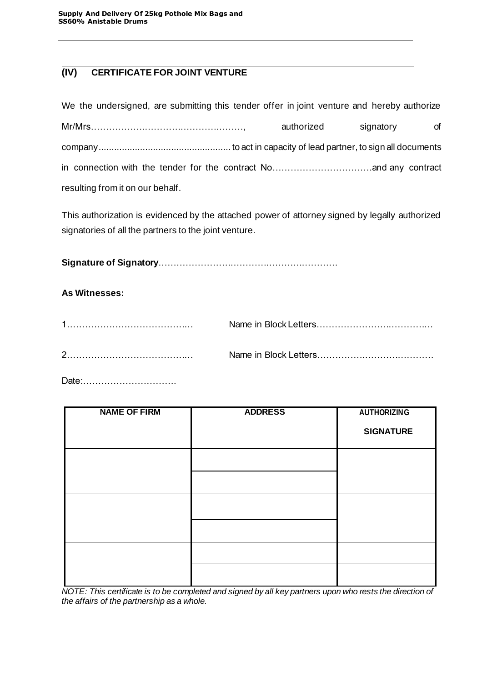# **(IV) CERTIFICATE FOR JOINT VENTURE**

| We the undersigned, are submitting this tender offer in joint venture and hereby authorize |            |           |    |
|--------------------------------------------------------------------------------------------|------------|-----------|----|
|                                                                                            | authorized | signatory | of |
|                                                                                            |            |           |    |
|                                                                                            |            |           |    |
| resulting from it on our behalf.                                                           |            |           |    |

This authorization is evidenced by the attached power of attorney signed by legally authorized signatories of all the partners to the joint venture.

**Signature of Signatory**……………………………………………………

# **As Witnesses:**

Date:………………………….

| <b>NAME OF FIRM</b> | <b>ADDRESS</b> | <b>AUTHORIZING</b><br><b>SIGNATURE</b> |
|---------------------|----------------|----------------------------------------|
|                     |                |                                        |
|                     |                |                                        |
|                     |                |                                        |

*NOTE: This certificate is to be completed and signed by all key partners upon who rests the direction of the affairs of the partnership as a whole.*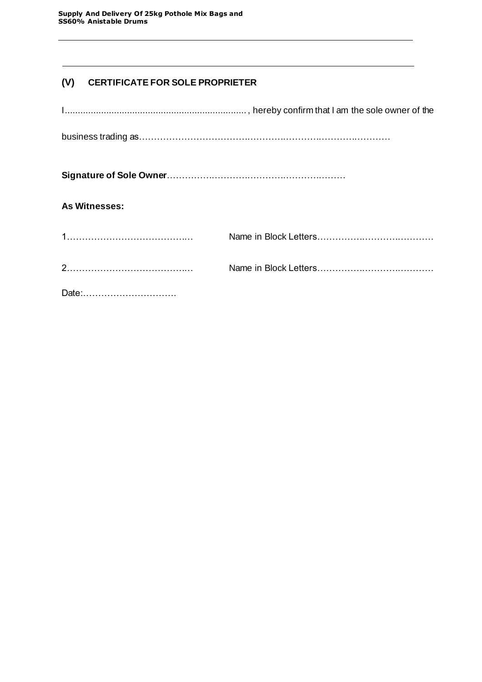# **(V) CERTIFICATE FOR SOLE PROPRIETER**

| As Witnesses: |  |
|---------------|--|
|               |  |
|               |  |
| Date:         |  |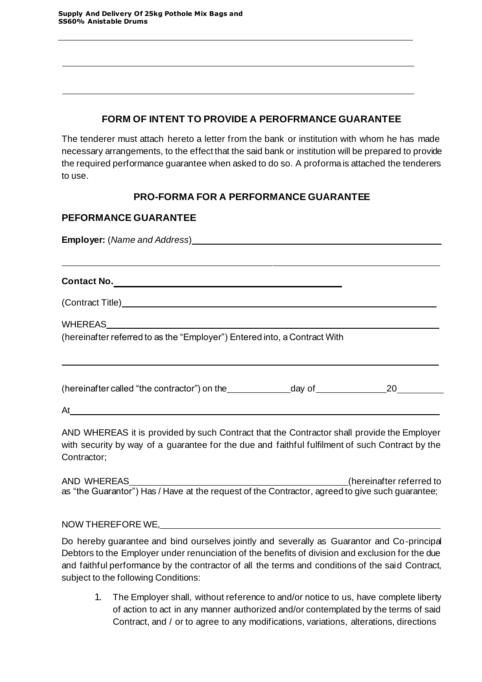# **FORM OF INTENT TO PROVIDE A PEROFRMANCE GUARANTEE**

The tenderer must attach hereto a letter from the bank or institution with whom he has made necessary arrangements, to the effect that the said bank or institution will be prepared to provide the required performance guarantee when asked to do so. A proforma is attached the tenderers to use.

# **PRO-FORMA FOR A PERFORMANCE GUARANTEE**

# **PEFORMANCE GUARANTEE**

**Employer:** (*Name and Address*)

**Contact No.**

(Contract Title)

WHEREAS

(hereinafter referred to as the "Employer") Entered into, a Contract With

(hereinafter called "the contractor") on the  $\qquad \qquad$  day of  $\qquad \qquad \qquad 20$ 

At

AND WHEREAS it is provided by such Contract that the Contractor shall provide the Employer with security by way of a guarantee for the due and faithful fulfilment of such Contract by the Contractor;

AND WHEREAS (hereinafter referred to as "the Guarantor") Has / Have at the request of the Contractor, agreed to give such guarantee;

NOW THEREFORE WE,

Do hereby guarantee and bind ourselves jointly and severally as Guarantor and Co-principal Debtors to the Employer under renunciation of the benefits of division and exclusion for the due and faithful performance by the contractor of all the terms and conditions of the said Contract, subject to the following Conditions:

1. The Employer shall, without reference to and/or notice to us, have complete liberty of action to act in any manner authorized and/or contemplated by the terms of said Contract, and / or to agree to any modifications, variations, alterations, directions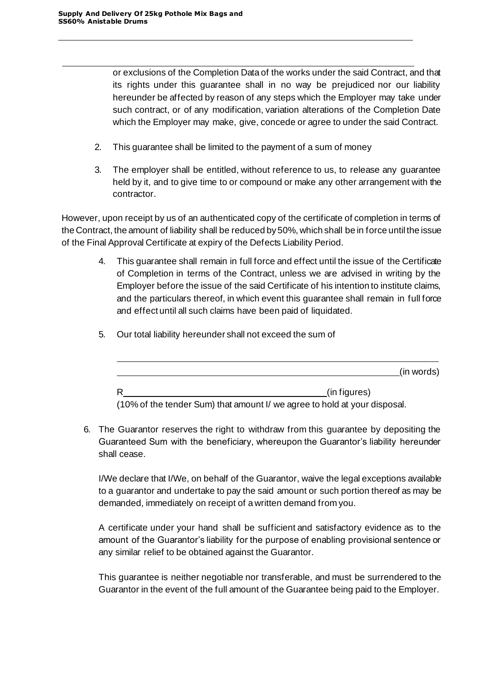or exclusions of the Completion Data of the works under the said Contract, and that its rights under this guarantee shall in no way be prejudiced nor our liability hereunder be affected by reason of any steps which the Employer may take under such contract, or of any modification, variation alterations of the Completion Date which the Employer may make, give, concede or agree to under the said Contract.

- 2. This guarantee shall be limited to the payment of a sum of money
- 3. The employer shall be entitled, without reference to us, to release any guarantee held by it, and to give time to or compound or make any other arrangement with the contractor.

However, upon receipt by us of an authenticated copy of the certificate of completion in terms of the Contract, the amount of liability shall be reduced by 50%, which shall be in force until the issue of the Final Approval Certificate at expiry of the Defects Liability Period.

- 4. This guarantee shall remain in full force and effect until the issue of the Certificate of Completion in terms of the Contract, unless we are advised in writing by the Employer before the issue of the said Certificate of his intention to institute claims, and the particulars thereof, in which event this guarantee shall remain in full force and effect until all such claims have been paid of liquidated.
	- (in words) R (in figures)
- 5. Our total liability hereunder shall not exceed the sum of

(10% of the tender Sum) that amount I/ we agree to hold at your disposal.

6. The Guarantor reserves the right to withdraw from this guarantee by depositing the Guaranteed Sum with the beneficiary, whereupon the Guarantor's liability hereunder shall cease.

I/We declare that I/We, on behalf of the Guarantor, waive the legal exceptions available to a guarantor and undertake to pay the said amount or such portion thereof as may be demanded, immediately on receipt of a written demand from you.

A certificate under your hand shall be sufficient and satisfactory evidence as to the amount of the Guarantor's liability for the purpose of enabling provisional sentence or any similar relief to be obtained against the Guarantor.

This guarantee is neither negotiable nor transferable, and must be surrendered to the Guarantor in the event of the full amount of the Guarantee being paid to the Employer.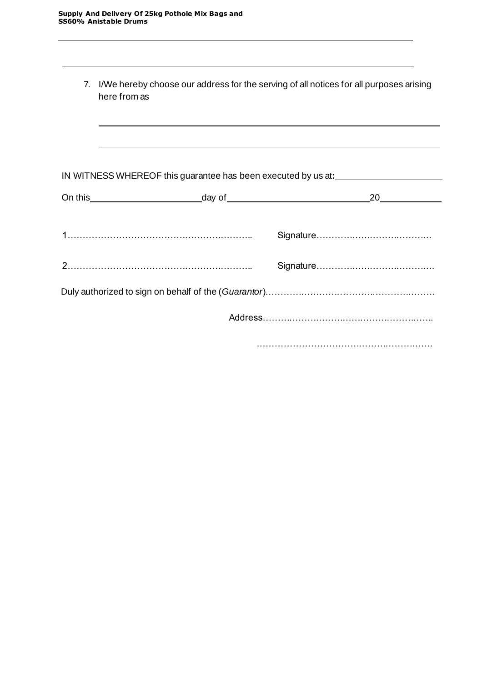| Supply And Delivery Of 25kg Pothole Mix Bags and |  |  |  |
|--------------------------------------------------|--|--|--|
| SS60% Anistable Drums                            |  |  |  |

| 7. I/We hereby choose our address for the serving of all notices for all purposes arising<br>here from as                             |           |
|---------------------------------------------------------------------------------------------------------------------------------------|-----------|
| IN WITNESS WHEREOF this guarantee has been executed by us at:<br><u>IN WITNESS WHEREOF this guarantee has been executed by us at:</u> |           |
|                                                                                                                                       | $20 \sim$ |
|                                                                                                                                       |           |
|                                                                                                                                       |           |
|                                                                                                                                       |           |
|                                                                                                                                       |           |
|                                                                                                                                       |           |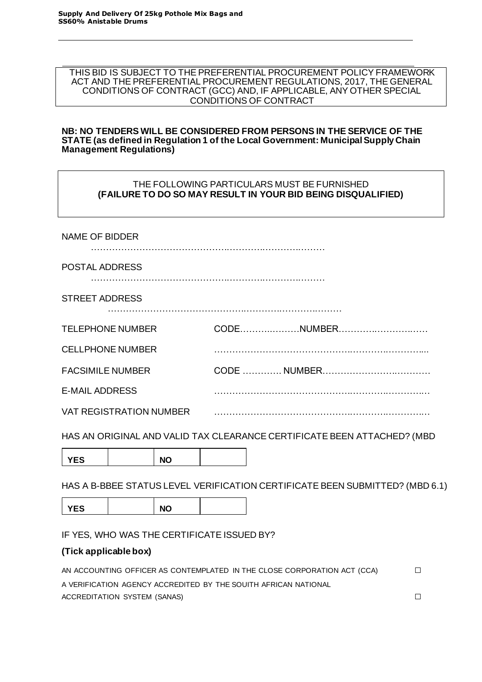THIS BID IS SUBJECT TO THE PREFERENTIAL PROCUREMENT POLICY FRAMEWORK ACT AND THE PREFERENTIAL PROCUREMENT REGULATIONS, 2017, THE GENERAL CONDITIONS OF CONTRACT (GCC) AND, IF APPLICABLE, ANY OTHER SPECIAL CONDITIONS OF CONTRACT

#### **NB: NO TENDERS WILL BE CONSIDERED FROM PERSONS IN THE SERVICE OF THE STATE (as defined in Regulation 1 of the Local Government: Municipal Supply Chain Management Regulations)**

# THE FOLLOWING PARTICULARS MUST BE FURNISHED **(FAILURE TO DO SO MAY RESULT IN YOUR BID BEING DISQUALIFIED)**

| <b>NAME OF BIDDER</b>          |            |
|--------------------------------|------------|
| POSTAL ADDRESS                 |            |
| <b>STREET ADDRESS</b>          |            |
| <b>TELEPHONE NUMBER</b>        | CODENUMBER |
| <b>CELLPHONE NUMBER</b>        |            |
| <b>FACSIMILE NUMBER</b>        |            |
| <b>E-MAIL ADDRESS</b>          |            |
| <b>VAT REGISTRATION NUMBER</b> |            |

HAS AN ORIGINAL AND VALID TAX CLEARANCE CERTIFICATE BEEN ATTACHED? (MBD

YES | NO

HAS A B-BBEE STATUS LEVEL VERIFICATION CERTIFICATE BEEN SUBMITTED? (MBD 6.1)

YES | NO

IF YES, WHO WAS THE CERTIFICATE ISSUED BY?

# **(Tick applicable box)**

| AN ACCOUNTING OFFICER AS CONTEMPLATED IN THE CLOSE CORPORATION ACT (CCA) | П. |
|--------------------------------------------------------------------------|----|
| A VERIFICATION AGENCY ACCREDITED BY THE SOUITH AFRICAN NATIONAL          |    |
| ACCREDITATION SYSTEM (SANAS)                                             |    |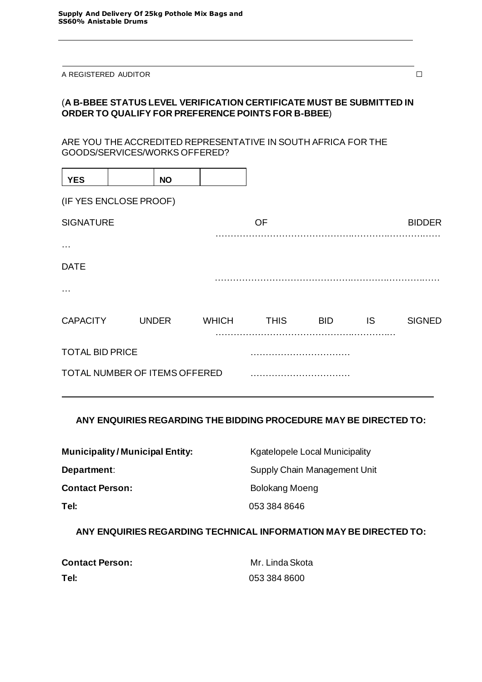A REGISTERED AUDITOR  $\Box$ 

# (**A B-BBEE STATUS LEVEL VERIFICATION CERTIFICATE MUST BE SUBMITTED IN ORDER TO QUALIFY FOR PREFERENCE POINTS FOR B-BBEE**)

ARE YOU THE ACCREDITED REPRESENTATIVE IN SOUTH AFRICA FOR THE GOODS/SERVICES/WORKS OFFERED?

| <b>YES</b>                    |                        | <b>NO</b>    |              |             |            |     |               |
|-------------------------------|------------------------|--------------|--------------|-------------|------------|-----|---------------|
|                               | (IF YES ENCLOSE PROOF) |              |              |             |            |     |               |
| <b>SIGNATURE</b>              |                        |              |              | OF          |            |     | <b>BIDDER</b> |
| $\sim$ $\sim$ $\sim$          |                        |              |              |             |            |     |               |
| <b>DATE</b>                   |                        |              |              |             |            |     |               |
| $\cdots$                      |                        |              |              |             |            |     |               |
| <b>CAPACITY</b>               |                        | <b>UNDER</b> | <b>WHICH</b> | <b>THIS</b> | <b>BID</b> | IS. | <b>SIGNED</b> |
| <b>TOTAL BID PRICE</b>        |                        |              |              |             |            |     |               |
| TOTAL NUMBER OF ITEMS OFFERED |                        |              |              |             |            |     |               |

# **ANY ENQUIRIES REGARDING THE BIDDING PROCEDURE MAY BE DIRECTED TO:**

| <b>Municipality/Municipal Entity:</b> | <b>Kgatelopele Local Municipality</b> |
|---------------------------------------|---------------------------------------|
| Department:                           | Supply Chain Management Unit          |
| <b>Contact Person:</b>                | Bolokang Moeng                        |
| Tel:                                  | 053 384 8646                          |

**ANY ENQUIRIES REGARDING TECHNICAL INFORMATION MAY BE DIRECTED TO:**

| <b>Contact Person:</b> | Mr. Linda Skota |
|------------------------|-----------------|
| Tel:                   | 053 384 8600    |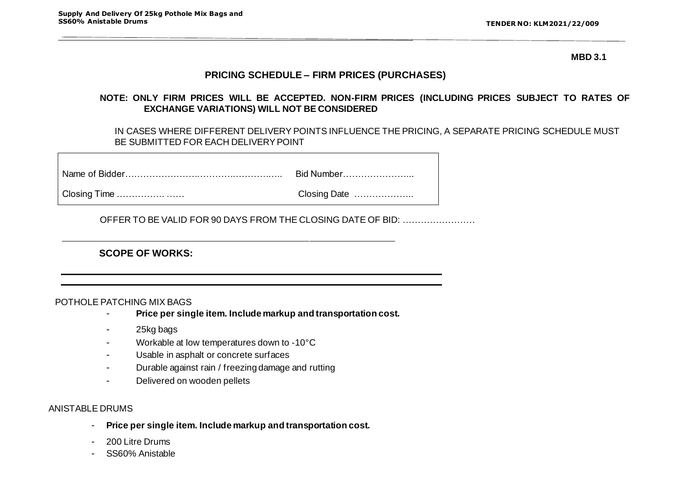**MBD 3.1**

# **PRICING SCHEDULE – FIRM PRICES (PURCHASES)**

# **NOTE: ONLY FIRM PRICES WILL BE ACCEPTED. NON-FIRM PRICES (INCLUDING PRICES SUBJECT TO RATES OF EXCHANGE VARIATIONS) WILL NOT BE CONSIDERED**

IN CASES WHERE DIFFERENT DELIVERY POINTS INFLUENCE THE PRICING, A SEPARATE PRICING SCHEDULE MUST BE SUBMITTED FOR EACH DELIVERY POINT

Closing Time ……………. …… Closing Date ………………..

OFFER TO BE VALID FOR 90 DAYS FROM THE CLOSING DATE OF BID: ……………………

**SCOPE OF WORKS:**

#### POTHOLE PATCHING MIX BAGS

- **Price per single item. Include markup and transportation cost.**
- 25kg bags
- Workable at low temperatures down to -10°C
- Usable in asphalt or concrete surfaces
- Durable against rain / freezing damage and rutting
- Delivered on wooden pellets

### ANISTABLE DRUMS

- **Price per single item. Include markup and transportation cost.**
- 200 Litre Drums
- SS60% Anistable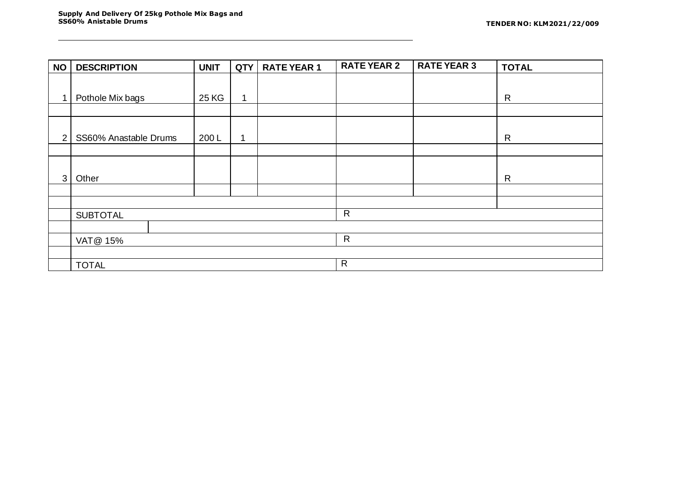| <b>NO</b>      | <b>DESCRIPTION</b>    | <b>UNIT</b> | QTY | <b>RATE YEAR 1</b> | <b>RATE YEAR 2</b> | <b>RATE YEAR 3</b> | <b>TOTAL</b> |
|----------------|-----------------------|-------------|-----|--------------------|--------------------|--------------------|--------------|
|                |                       |             |     |                    |                    |                    |              |
|                | Pothole Mix bags      | 25 KG       | 1   |                    |                    |                    | R            |
|                |                       |             |     |                    |                    |                    |              |
|                |                       |             |     |                    |                    |                    |              |
| $\overline{2}$ | SS60% Anastable Drums | 200L        | 1   |                    |                    |                    | $\mathsf{R}$ |
|                |                       |             |     |                    |                    |                    |              |
|                |                       |             |     |                    |                    |                    |              |
| 3              | Other                 |             |     |                    |                    |                    | $\mathsf{R}$ |
|                |                       |             |     |                    |                    |                    |              |
|                |                       |             |     |                    |                    |                    |              |
|                | <b>SUBTOTAL</b>       |             |     |                    | $\overline{R}$     |                    |              |
|                |                       |             |     |                    |                    |                    |              |
|                | VAT@ 15%              |             |     |                    | R                  |                    |              |
|                |                       |             |     |                    |                    |                    |              |
|                | <b>TOTAL</b>          |             |     |                    | $\overline{R}$     |                    |              |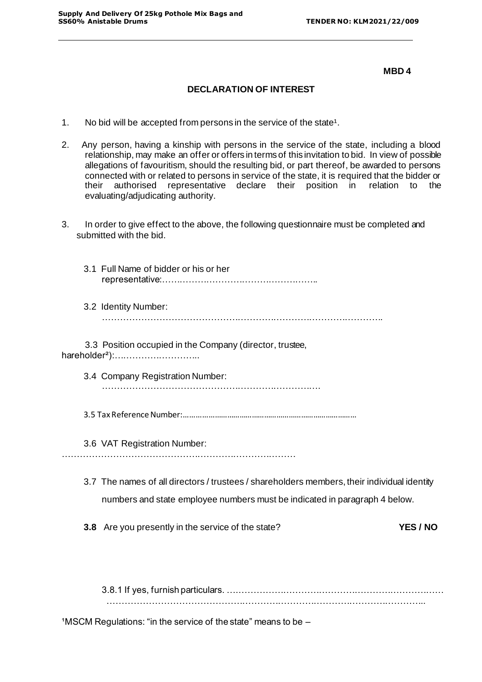#### **MBD 4**

# **DECLARATION OF INTEREST**

- 1. No bid will be accepted from persons in the service of the state<sup>1</sup>.
- 2. Any person, having a kinship with persons in the service of the state, including a blood relationship, may make an offer or offers in terms of this invitation to bid. In view of possible allegations of favouritism, should the resulting bid, or part thereof, be awarded to persons connected with or related to persons in service of the state, it is required that the bidder or their authorised representative declare their position in relation to the evaluating/adjudicating authority.
- 3. In order to give effect to the above, the following questionnaire must be completed and submitted with the bid.
	- 3.1 Full Name of bidder or his or her representative:……………………………………………..
	- 3.2 Identity Number: ………………………………………………………………………………….

3.3 Position occupied in the Company (director, trustee, hareholder²):………………………..

- 3.4 Company Registration Number: ……………………………………………………………….
- 3.5 Tax Reference Number:…………………………………………………………………………
- 3.6 VAT Registration Number:

……………………………………………………………………

- 3.7 The names of all directors / trustees / shareholders members, their individual identity numbers and state employee numbers must be indicated in paragraph 4 below.
- **3.8** Are you presently in the service of the state? **YES / NO**

3.8.1 If yes, furnish particulars. ….…………………………………………………………… ……………………………………………………………………………………………..

 $1$ MSCM Regulations: "in the service of the state" means to be  $-$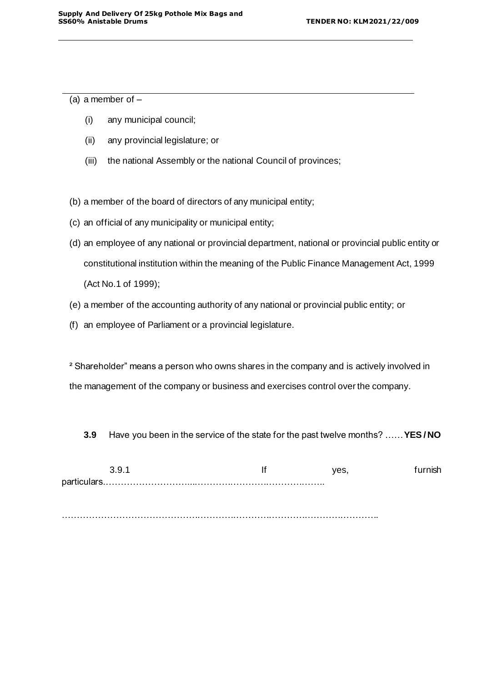(a) a member of  $-$ 

- (i) any municipal council;
- (ii) any provincial legislature; or
- (iii) the national Assembly or the national Council of provinces;

(b) a member of the board of directors of any municipal entity;

- (c) an official of any municipality or municipal entity;
- (d) an employee of any national or provincial department, national or provincial public entity or constitutional institution within the meaning of the Public Finance Management Act, 1999 (Act No.1 of 1999);
- (e) a member of the accounting authority of any national or provincial public entity; or
- (f) an employee of Parliament or a provincial legislature.

<sup>2</sup> Shareholder" means a person who owns shares in the company and is actively involved in the management of the company or business and exercises control over the company.

**3.9** Have you been in the service of the state for the past twelve months? ……**YES / NO**

| partic |  |  |
|--------|--|--|

…………………………………………………………………………………………….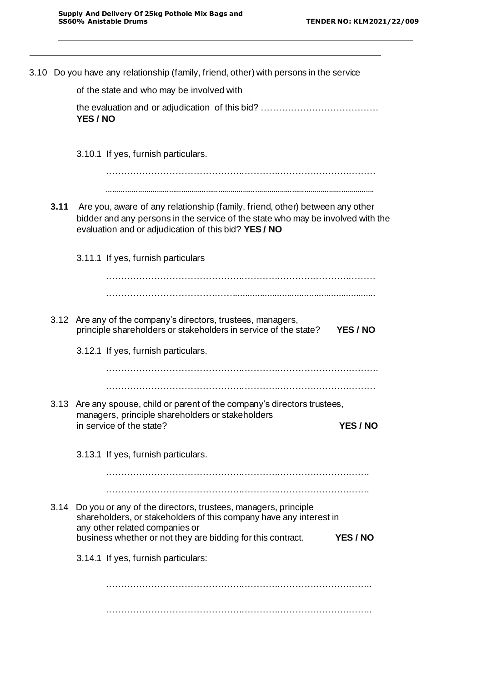$\overline{\phantom{a}}$ 

|      | 3.10 Do you have any relationship (family, friend, other) with persons in the service                                                                                                                                                     |          |
|------|-------------------------------------------------------------------------------------------------------------------------------------------------------------------------------------------------------------------------------------------|----------|
|      | of the state and who may be involved with                                                                                                                                                                                                 |          |
|      | YES / NO                                                                                                                                                                                                                                  |          |
|      | 3.10.1 If yes, furnish particulars.                                                                                                                                                                                                       |          |
| 3.11 | Are you, aware of any relationship (family, friend, other) between any other<br>bidder and any persons in the service of the state who may be involved with the<br>evaluation and or adjudication of this bid? YES/ NO                    |          |
|      | 3.11.1 If yes, furnish particulars                                                                                                                                                                                                        |          |
|      |                                                                                                                                                                                                                                           |          |
|      | 3.12 Are any of the company's directors, trustees, managers,<br>principle shareholders or stakeholders in service of the state?                                                                                                           | YES / NO |
|      | 3.12.1 If yes, furnish particulars.                                                                                                                                                                                                       |          |
|      | 3.13 Are any spouse, child or parent of the company's directors trustees,<br>managers, principle shareholders or stakeholders<br>in service of the state?                                                                                 | YES / NO |
|      | 3.13.1 If yes, furnish particulars.                                                                                                                                                                                                       |          |
|      | 3.14 Do you or any of the directors, trustees, managers, principle<br>shareholders, or stakeholders of this company have any interest in<br>any other related companies or<br>business whether or not they are bidding for this contract. | YES / NO |
|      | 3.14.1 If yes, furnish particulars:                                                                                                                                                                                                       |          |
|      |                                                                                                                                                                                                                                           |          |
|      |                                                                                                                                                                                                                                           |          |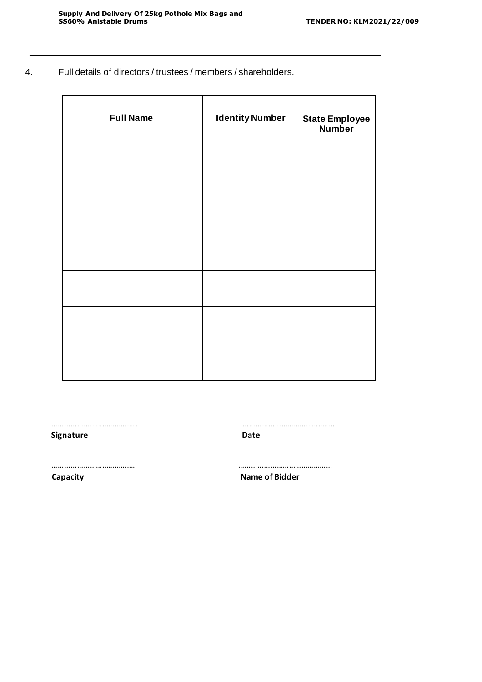4. Full details of directors / trustees / members / shareholders.

| <b>Full Name</b> | <b>Identity Number</b> | <b>State Employee</b><br><b>Number</b> |
|------------------|------------------------|----------------------------------------|
|                  |                        |                                        |
|                  |                        |                                        |
|                  |                        |                                        |
|                  |                        |                                        |
|                  |                        |                                        |
|                  |                        |                                        |

………………………………….. …………………………………….. **Signature Date** …………………………………. ……………………………………… **Capacity Name of Bidder**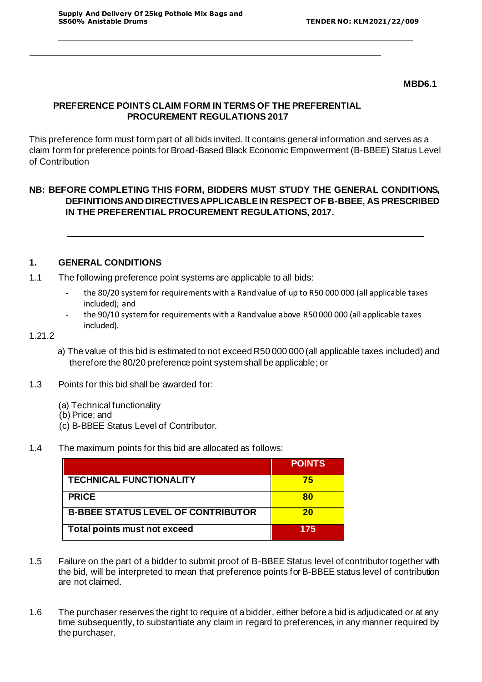#### **MBD6.1**

# **PREFERENCE POINTS CLAIM FORM IN TERMS OF THE PREFERENTIAL PROCUREMENT REGULATIONS 2017**

This preference form must form part of all bids invited. It contains general information and serves as a claim form for preference points for Broad-Based Black Economic Empowerment (B-BBEE) Status Level of Contribution

# **NB: BEFORE COMPLETING THIS FORM, BIDDERS MUST STUDY THE GENERAL CONDITIONS, DEFINITIONS AND DIRECTIVES APPLICABLE IN RESPECT OF B-BBEE, AS PRESCRIBED IN THE PREFERENTIAL PROCUREMENT REGULATIONS, 2017.**

#### **1. GENERAL CONDITIONS**

- 1.1 The following preference point systems are applicable to all bids:
	- the 80/20 system for requirements with a Rand value of up to R50 000 000 (all applicable taxes included); and
	- the 90/10 system for requirements with a Rand value above R50 000 000 (all applicable taxes included).

#### 1.21.2

- a) The value of this bid is estimated to not exceed R50 000 000 (all applicable taxes included) and therefore the 80/20 preference point systemshall be applicable; or
- 1.3 Points for this bid shall be awarded for:
	- (a) Technical functionality
	- (b) Price; and
	- (c) B-BBEE Status Level of Contributor.
- 1.4 The maximum points for this bid are allocated as follows:

|                                           | <b>POINTS</b> |
|-------------------------------------------|---------------|
| <b>TECHNICAL FUNCTIONALITY</b>            | 75            |
| <b>PRICE</b>                              | 80            |
| <b>B-BBEE STATUS LEVEL OF CONTRIBUTOR</b> | 20            |
| <b>Total points must not exceed</b>       | 175           |

- 1.5 Failure on the part of a bidder to submit proof of B-BBEE Status level of contributor together with the bid, will be interpreted to mean that preference points for B-BBEE status level of contribution are not claimed.
- 1.6 The purchaser reserves the right to require of a bidder, either before a bid is adjudicated or at any time subsequently, to substantiate any claim in regard to preferences, in any manner required by the purchaser.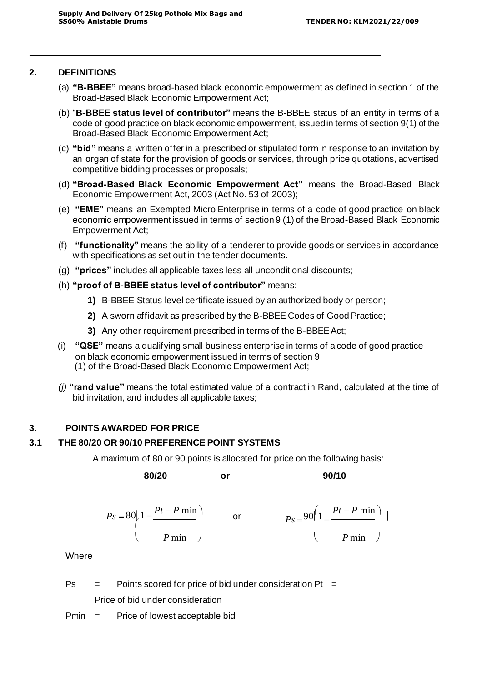#### **2. DEFINITIONS**

- (a) **"B-BBEE"** means broad-based black economic empowerment as defined in section 1 of the Broad-Based Black Economic Empowerment Act;
- (b) "**B-BBEE status level of contributor"** means the B-BBEE status of an entity in terms of a code of good practice on black economic empowerment, issuedin terms of section 9(1) of the Broad-Based Black Economic Empowerment Act;
- (c) **"bid"** means a written offer in a prescribed or stipulated form in response to an invitation by an organ of state for the provision of goods or services, through price quotations, advertised competitive bidding processes or proposals;
- (d) **"Broad-Based Black Economic Empowerment Act"** means the Broad-Based Black Economic Empowerment Act, 2003 (Act No. 53 of 2003);
- (e) **"EME"** means an Exempted Micro Enterprise in terms of a code of good practice on black economic empowerment issued in terms of section 9 (1) of the Broad-Based Black Economic Empowerment Act;
- (f) **"functionality"** means the ability of a tenderer to provide goods or services in accordance with specifications as set out in the tender documents.
- (g) **"prices"** includes all applicable taxes less all unconditional discounts;
- (h) **"proof of B-BBEE status level of contributor"** means:
	- **1)** B-BBEE Status level certificate issued by an authorized body or person;
	- **2)** A sworn affidavit as prescribed by the B-BBEE Codes of Good Practice;
	- **3)** Any other requirement prescribed in terms of the B-BBEE Act;
- (i) **"QSE"** means a qualifying small business enterprise in terms of a code of good practice on black economic empowerment issued in terms of section 9 (1) of the Broad-Based Black Economic Empowerment Act;
- *(j)* **"rand value"** means the total estimated value of a contract in Rand, calculated at the time of bid invitation, and includes all applicable taxes;

### **3. POINTS AWARDED FOR PRICE**

# **3.1 THE 80/20 OR 90/10 PREFERENCE POINT SYSTEMS**

A maximum of 80 or 90 points is allocated for price on the following basis:

**80/20 or 90/10**

$$
Ps = 80\left(1 - \frac{Pt - P \min}{P \min}\right) \qquad \text{or} \qquad \qquad Ps = 90\left(1 - \frac{Pt - P \min}{P \min}\right) \mid
$$

**Where** 

 $Ps =$  Points scored for price of bid under consideration Pt = Price of bid under consideration

Pmin = Price of lowest acceptable bid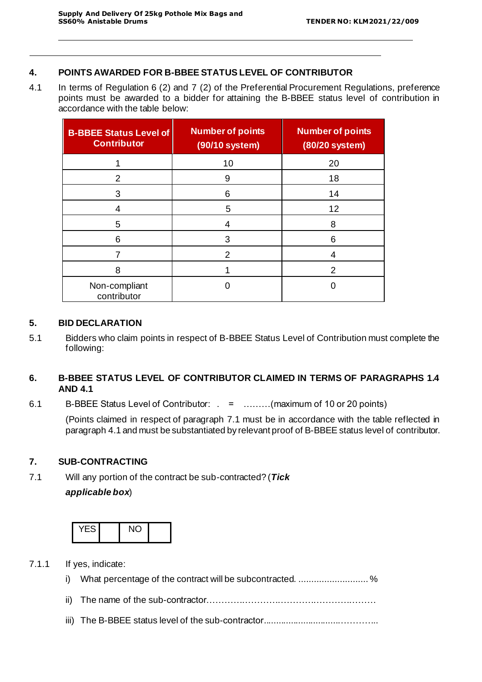# **4. POINTS AWARDED FOR B-BBEE STATUS LEVEL OF CONTRIBUTOR**

4.1 In terms of Regulation 6 (2) and 7 (2) of the Preferential Procurement Regulations, preference points must be awarded to a bidder for attaining the B-BBEE status level of contribution in accordance with the table below:

| <b>B-BBEE Status Level of</b><br><b>Contributor</b> | <b>Number of points</b><br>(90/10 system) | <b>Number of points</b><br>(80/20 system) |
|-----------------------------------------------------|-------------------------------------------|-------------------------------------------|
|                                                     | 10                                        | 20                                        |
| 2                                                   | 9                                         | 18                                        |
| 3                                                   | 6                                         | 14                                        |
| 4                                                   | 5                                         | 12                                        |
| 5                                                   | 4                                         | 8                                         |
| 6                                                   | 3                                         | 6                                         |
|                                                     | $\mathcal{P}$                             | 4                                         |
| 8                                                   |                                           | 2                                         |
| Non-compliant<br>contributor                        |                                           |                                           |

#### **5. BID DECLARATION**

5.1 Bidders who claim points in respect of B-BBEE Status Level of Contribution must complete the following:

# **6. B-BBEE STATUS LEVEL OF CONTRIBUTOR CLAIMED IN TERMS OF PARAGRAPHS 1.4 AND 4.1**

6.1 B-BBEE Status Level of Contributor: . = ………(maximum of 10 or 20 points)

(Points claimed in respect of paragraph 7.1 must be in accordance with the table reflected in paragraph 4.1 and must be substantiated by relevant proof of B-BBEE status level of contributor.

# **7. SUB-CONTRACTING**

7.1 Will any portion of the contract be sub-contracted? (*Tick applicable box*)



- 7.1.1 If yes, indicate: i) What percentage of the contract will be subcontracted. ............................% ii) The name of the sub-contractor…………………………………………………
	- iii) The B-BBEE status level of the sub-contractor..............................…………..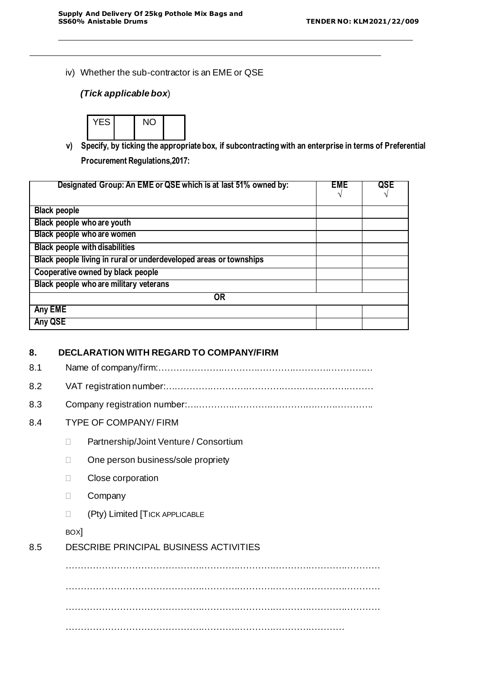iv) Whether the sub-contractor is an EME or QSE

# *(Tick applicable box*)



**v) Specify, by ticking the appropriate box, if subcontracting with an enterprise in terms of Preferential Procurement Regulations,2017:**

| Designated Group: An EME or QSE which is at last 51% owned by:    | <b>EME</b> | QSE |
|-------------------------------------------------------------------|------------|-----|
|                                                                   |            |     |
| <b>Black people</b>                                               |            |     |
| Black people who are youth                                        |            |     |
| Black people who are women                                        |            |     |
| <b>Black people with disabilities</b>                             |            |     |
| Black people living in rural or underdeveloped areas or townships |            |     |
| Cooperative owned by black people                                 |            |     |
| Black people who are military veterans                            |            |     |
| 0R                                                                |            |     |
| Any EME                                                           |            |     |
| <b>Any QSE</b>                                                    |            |     |

#### **8. DECLARATION WITH REGARD TO COMPANY/FIRM**

8.1 Name of company/firm:………………………………………………………………

- 8.2 VAT registration number:……………………………………….……………………
- 8.3 Company registration number:…………….……………………….……………….

### 8.4 TYPE OF COMPANY/ FIRM

- D Partnership/Joint Venture / Consortium
- □ One person business/sole propriety
- D Close corporation
- D Company
- (Pty) Limited [TICK APPLICABLE

#### BOX]

#### 8.5 DESCRIBE PRINCIPAL BUSINESS ACTIVITIES

…………………………………………………………………………………………… …………………………………………………………………………………………… …………………………………………………………………………………………… …………………………………………………………………………………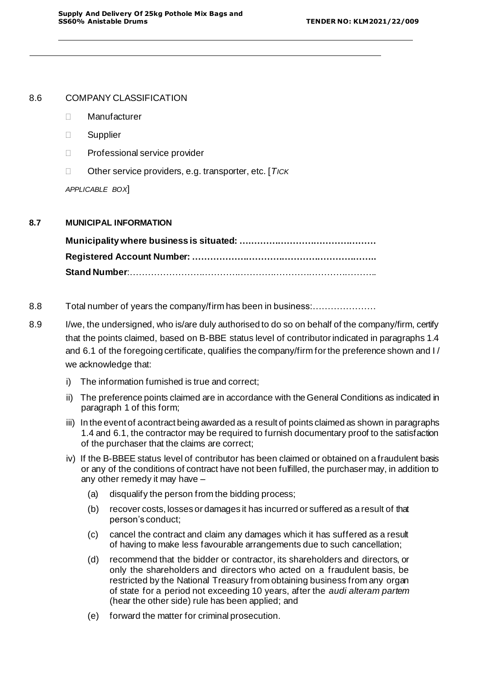#### 8.6 COMPANY CLASSIFICATION

- Manufacturer
- **D** Supplier
- D Professional service provider
- Other service providers, e.g. transporter, etc. [*TICK*

*APPLICABLE BOX*]

# **8.7 MUNICIPAL INFORMATION**

**Municipality where business is situated: ….…………………………………… Registered Account Number: …………………………………………………….. Stand Number**:………………………………………………………………………..

- 8.8 Total number of years the company/firm has been in business:…………………
- 8.9 I/we, the undersigned, who is/are duly authorised to do so on behalf of the company/firm, certify that the points claimed, based on B-BBE status level of contributor indicated in paragraphs 1.4 and 6.1 of the foregoing certificate, qualifies the company/firm for the preference shown and I/ we acknowledge that:
	- i) The information furnished is true and correct;
	- ii) The preference points claimed are in accordance with the General Conditions as indicated in paragraph 1 of this form;
	- iii) In the event of acontract being awarded as a result of points claimed as shown in paragraphs 1.4 and 6.1, the contractor may be required to furnish documentary proof to the satisfaction of the purchaser that the claims are correct;
	- iv) If the B-BBEE status level of contributor has been claimed or obtained on a fraudulent basis or any of the conditions of contract have not been fulfilled, the purchaser may, in addition to any other remedy it may have –
		- (a) disqualify the person from the bidding process;
		- (b) recover costs, losses or damages it has incurred or suffered as a result of that person's conduct;
		- (c) cancel the contract and claim any damages which it has suffered as a result of having to make less favourable arrangements due to such cancellation;
		- (d) recommend that the bidder or contractor, its shareholders and directors, or only the shareholders and directors who acted on a fraudulent basis, be restricted by the National Treasury from obtaining business from any organ of state for a period not exceeding 10 years, after the *audi alteram partem*  (hear the other side) rule has been applied; and
		- (e) forward the matter for criminal prosecution.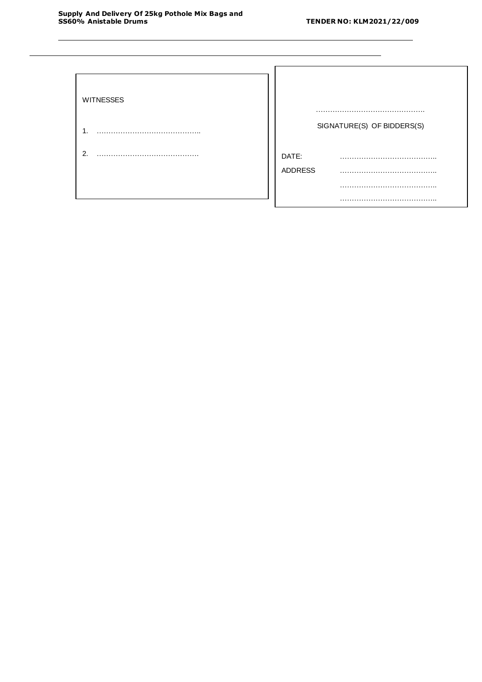| <b>WITNESSES</b> |                |                            |
|------------------|----------------|----------------------------|
| .,               |                | SIGNATURE(S) OF BIDDERS(S) |
| $\overline{2}$ . | DATE:          | .                          |
|                  | <b>ADDRESS</b> |                            |
|                  |                |                            |
|                  |                |                            |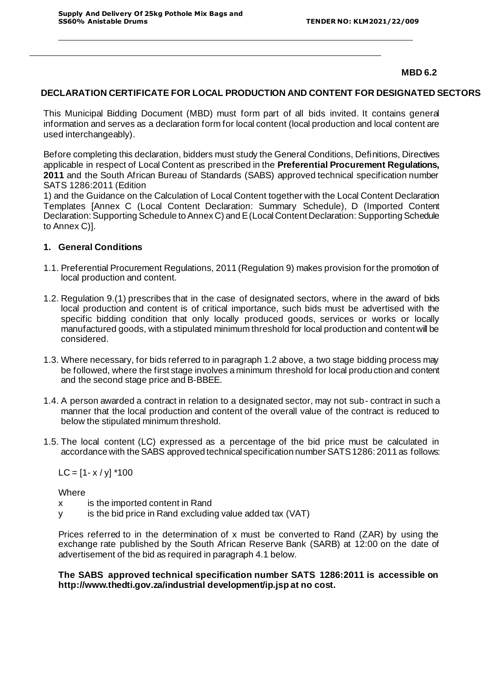#### **MBD 6.2**

#### **DECLARATION CERTIFICATE FOR LOCAL PRODUCTION AND CONTENT FOR DESIGNATED SECTORS**

This Municipal Bidding Document (MBD) must form part of all bids invited. It contains general information and serves as a declaration form for local content (local production and local content are used interchangeably).

Before completing this declaration, bidders must study the General Conditions, Definitions, Directives applicable in respect of Local Content as prescribed in the **Preferential Procurement Regulations, 2011** and the South African Bureau of Standards (SABS) approved technical specification number SATS 1286:2011 (Edition

1) and the Guidance on the Calculation of Local Content together with the Local Content Declaration Templates [Annex C (Local Content Declaration: Summary Schedule), D (Imported Content Declaration: Supporting Schedule to Annex C) and E (Local Content Declaration: Supporting Schedule to Annex C)].

#### **1. General Conditions**

- 1.1. Preferential Procurement Regulations, 2011 (Regulation 9) makes provision for the promotion of local production and content.
- 1.2. Regulation 9.(1) prescribes that in the case of designated sectors, where in the award of bids local production and content is of critical importance, such bids must be advertised with the specific bidding condition that only locally produced goods, services or works or locally manufactured goods, with a stipulated minimum threshold for local production and content will be considered.
- 1.3. Where necessary, for bids referred to in paragraph 1.2 above, a two stage bidding process may be followed, where the first stage involves a minimum threshold for local production and content and the second stage price and B-BBEE.
- 1.4. A person awarded a contract in relation to a designated sector, may not sub- contract in such a manner that the local production and content of the overall value of the contract is reduced to below the stipulated minimum threshold.
- 1.5. The local content (LC) expressed as a percentage of the bid price must be calculated in accordance with the SABS approved technical specification number SATS 1286: 2011 as follows:

 $LC = [1 - x / y]$  \*100

**Where** 

- x is the imported content in Rand
- y is the bid price in Rand excluding value added tax (VAT)

Prices referred to in the determination of x must be converted to Rand (ZAR) by using the exchange rate published by the South African Reserve Bank (SARB) at 12:00 on the date of advertisement of the bid as required in paragraph 4.1 below.

**The SABS approved technical specification number SATS 1286:2011 is accessible on <http://www.thedti.gov.za/industrial> development/ip.jsp at no cost.**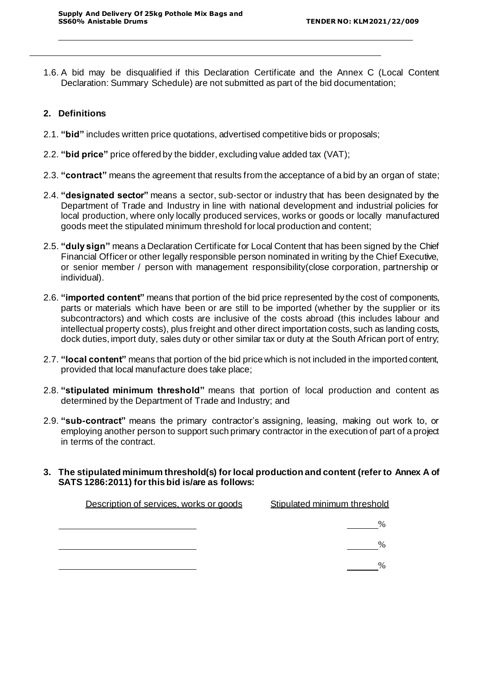1.6. A bid may be disqualified if this Declaration Certificate and the Annex C (Local Content Declaration: Summary Schedule) are not submitted as part of the bid documentation;

# **2. Definitions**

- 2.1. **"bid"** includes written price quotations, advertised competitive bids or proposals;
- 2.2. **"bid price"** price offered by the bidder, excluding value added tax (VAT);
- 2.3. **"contract"** means the agreement that results from the acceptance of a bid by an organ of state;
- 2.4. **"designated sector"** means a sector, sub-sector or industry that has been designated by the Department of Trade and Industry in line with national development and industrial policies for local production, where only locally produced services, works or goods or locally manufactured goods meet the stipulated minimum threshold for local production and content;
- 2.5. **"duly sign"** means a Declaration Certificate for Local Content that has been signed by the Chief Financial Officer or other legally responsible person nominated in writing by the Chief Executive, or senior member / person with management responsibility(close corporation, partnership or individual).
- 2.6. **"imported content"** means that portion of the bid price represented by the cost of components, parts or materials which have been or are still to be imported (whether by the supplier or its subcontractors) and which costs are inclusive of the costs abroad (this includes labour and intellectual property costs), plus freight and other direct importation costs, such as landing costs, dock duties, import duty, sales duty or other similar tax or duty at the South African port of entry;
- 2.7. **"local content"** means that portion of the bid price which is not included in the imported content, provided that local manufacture does take place;
- 2.8. **"stipulated minimum threshold"** means that portion of local production and content as determined by the Department of Trade and Industry; and
- 2.9. **"sub-contract"** means the primary contractor's assigning, leasing, making out work to, or employing another person to support such primary contractor in the execution of part of a project in terms of the contract.
- **3. The stipulated minimum threshold(s) for local production and content (refer to Annex A of SATS 1286:2011) for this bid is/are as follows:**

| Description of services, works or goods | Stipulated minimum threshold |  |  |
|-----------------------------------------|------------------------------|--|--|
|                                         |                              |  |  |
|                                         |                              |  |  |
|                                         |                              |  |  |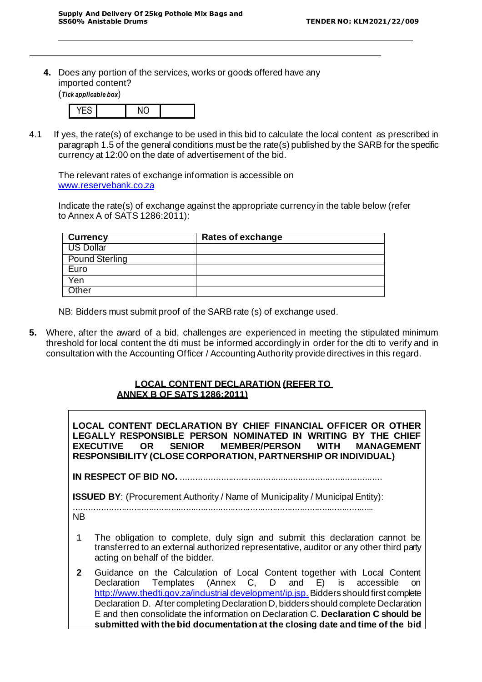**4.** Does any portion of the services, works or goods offered have any imported content?

(*Tick applicable box*)



4.1 If yes, the rate(s) of exchange to be used in this bid to calculate the local content as prescribed in paragraph 1.5 of the general conditions must be the rate(s) published by the SARB for the specific currency at 12:00 on the date of advertisement of the bid.

The relevant rates of exchange information is accessible on [www.reservebank.co.za](http://www.reservebank.co.za/)

Indicate the rate(s) of exchange against the appropriate currency in the table below (refer to Annex A of SATS 1286:2011):

| <b>Currency</b>       | <b>Rates of exchange</b> |
|-----------------------|--------------------------|
| US Dollar             |                          |
| <b>Pound Sterling</b> |                          |
| Euro                  |                          |
| Yen                   |                          |
| Other                 |                          |

NB: Bidders must submit proof of the SARB rate (s) of exchange used.

**5.** Where, after the award of a bid, challenges are experienced in meeting the stipulated minimum threshold for local content the dti must be informed accordingly in order for the dti to verify and in consultation with the Accounting Officer / Accounting Authority provide directives in this regard.

# **LOCAL CONTENT DECLARATION (REFER TO ANNEX B OF SATS 1286:2011)**

**LOCAL CONTENT DECLARATION BY CHIEF FINANCIAL OFFICER OR OTHER LEGALLY RESPONSIBLE PERSON NOMINATED IN WRITING BY THE CHIEF EXECUTIVE OR SENIOR MEMBER/PERSON WITH MANAGEMENT RESPONSIBILITY (CLOSE CORPORATION, PARTNERSHIP OR INDIVIDUAL)**

**IN RESPECT OF BID NO. .................** 

**ISSUED BY:** (Procurement Authority / Name of Municipality / Municipal Entity):

.........................................................................................................................

NB

- 1 The obligation to complete, duly sign and submit this declaration cannot be transferred to an external authorized representative, auditor or any other third party acting on behalf of the bidder.
- **2** Guidance on the Calculation of Local Content together with Local Content Declaration Templates (Annex C, D and E) is accessible on [http://www.thedti.gov.za/industrial](http://www.thedti.gov.za/industrial%20development/ip.jsp) development/ip.jsp. Bidders should first complete Declaration D. After completing Declaration D, bidders should complete Declaration E and then consolidate the information on Declaration C. **Declaration C should be submitted with the bid documentation at the closing date and time of the bid**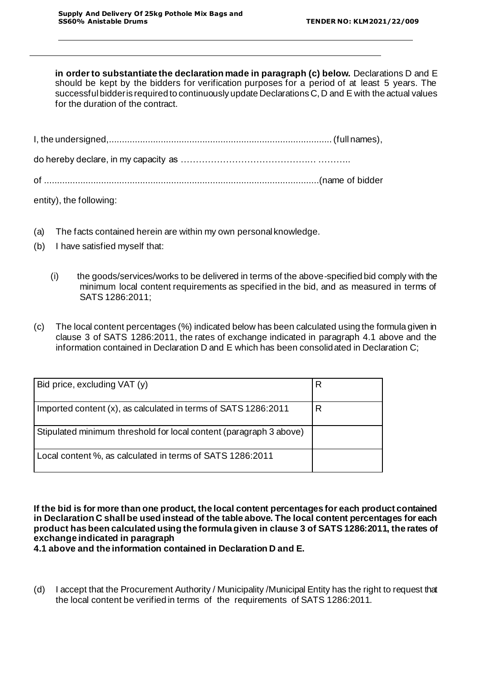**in order to substantiate the declaration made in paragraph (c) below.** Declarations D and E should be kept by the bidders for verification purposes for a period of at least 5 years. The successful bidder is required to continuously update Declarations C, D and E with the actual values for the duration of the contract.

| entity), the following: |  |
|-------------------------|--|

- (a) The facts contained herein are within my own personal knowledge.
- (b) I have satisfied myself that:
	- (i) the goods/services/works to be delivered in terms of the above-specified bid comply with the minimum local content requirements as specified in the bid, and as measured in terms of SATS 1286:2011;
- (c) The local content percentages (%) indicated below has been calculated using the formula given in clause 3 of SATS 1286:2011, the rates of exchange indicated in paragraph 4.1 above and the information contained in Declaration D and E which has been consolidated in Declaration C;

| Bid price, excluding VAT (y)                                       | R |
|--------------------------------------------------------------------|---|
| Imported content (x), as calculated in terms of SATS 1286:2011     | R |
| Stipulated minimum threshold for local content (paragraph 3 above) |   |
| Local content %, as calculated in terms of SATS 1286:2011          |   |

**If the bid is for more than one product, the local content percentages for each product contained in Declaration C shall be used instead of the table above. The local content percentages for each product has been calculated using the formula given in clause 3 of SATS 1286:2011, the rates of exchange indicated in paragraph**

**4.1 above and the information contained in Declaration D and E.**

(d) I accept that the Procurement Authority / Municipality /Municipal Entity has the right to request that the local content be verified in terms of the requirements of SATS 1286:2011.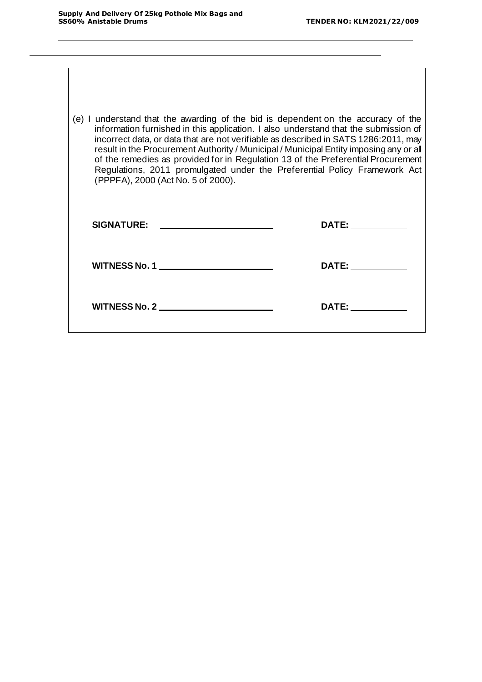٦

| (e) I understand that the awarding of the bid is dependent on the accuracy of the<br>information furnished in this application. I also understand that the submission of<br>incorrect data, or data that are not verifiable as described in SATS 1286:2011, may<br>result in the Procurement Authority / Municipal / Municipal Entity imposing any or all<br>of the remedies as provided for in Regulation 13 of the Preferential Procurement<br>Regulations, 2011 promulgated under the Preferential Policy Framework Act<br>(PPPFA), 2000 (Act No. 5 of 2000). |                                                                                                                                                                                                                                |
|------------------------------------------------------------------------------------------------------------------------------------------------------------------------------------------------------------------------------------------------------------------------------------------------------------------------------------------------------------------------------------------------------------------------------------------------------------------------------------------------------------------------------------------------------------------|--------------------------------------------------------------------------------------------------------------------------------------------------------------------------------------------------------------------------------|
| <b>SIGNATURE:</b>                                                                                                                                                                                                                                                                                                                                                                                                                                                                                                                                                | DATE: the contract of the contract of the contract of the contract of the contract of the contract of the contract of the contract of the contract of the contract of the contract of the contract of the contract of the cont |
| <b>WITNESS No. 1 ________________</b>                                                                                                                                                                                                                                                                                                                                                                                                                                                                                                                            | DATE: the contract of the contract of the contract of the contract of the contract of the contract of the contract of the contract of the contract of the contract of the contract of the contract of the contract of the cont |
| WITNESS No. 2                                                                                                                                                                                                                                                                                                                                                                                                                                                                                                                                                    | DATE: the contract of the contract of the contract of the contract of the contract of the contract of the contract of the contract of the contract of the contract of the contract of the contract of the contract of the cont |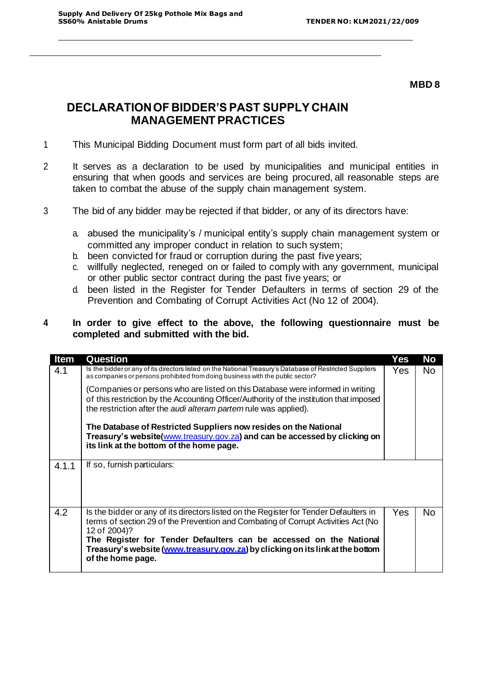#### **MBD 8**

# **DECLARATION OF BIDDER'S PAST SUPPLY CHAIN MANAGEMENT PRACTICES**

- 1 This Municipal Bidding Document must form part of all bids invited.
- 2 It serves as a declaration to be used by municipalities and municipal entities in ensuring that when goods and services are being procured, all reasonable steps are taken to combat the abuse of the supply chain management system.
- 3 The bid of any bidder may be rejected if that bidder, or any of its directors have:
	- a. abused the municipality's / municipal entity's supply chain management system or committed any improper conduct in relation to such system;
	- b. been convicted for fraud or corruption during the past five years;
	- c. willfully neglected, reneged on or failed to comply with any government, municipal or other public sector contract during the past five years; or
	- d. been listed in the Register for Tender Defaulters in terms of section 29 of the Prevention and Combating of Corrupt Activities Act (No 12 of 2004).

# **4 In order to give effect to the above, the following questionnaire must be completed and submitted with the bid.**

| <b>Item</b> | <b>Question</b>                                                                                                                                                                                                                                                                                                                                                         | Yes | No        |
|-------------|-------------------------------------------------------------------------------------------------------------------------------------------------------------------------------------------------------------------------------------------------------------------------------------------------------------------------------------------------------------------------|-----|-----------|
| 4.1         | Is the bidder or any of its directors listed on the National Treasury's Database of Restricted Suppliers<br>as companies or persons prohibited from doing business with the public sector?                                                                                                                                                                              | Yes | No.       |
|             | (Companies or persons who are listed on this Database were informed in writing<br>of this restriction by the Accounting Officer/Authority of the institution that imposed<br>the restriction after the audi alteram partem rule was applied).                                                                                                                           |     |           |
|             | The Database of Restricted Suppliers now resides on the National<br>Treasury's website(www.treasury.gov.za) and can be accessed by clicking on<br>its link at the bottom of the home page.                                                                                                                                                                              |     |           |
| 4.1.1       | If so, furnish particulars:                                                                                                                                                                                                                                                                                                                                             |     |           |
| 4.2         | Is the bidder or any of its directors listed on the Register for Tender Defaulters in<br>terms of section 29 of the Prevention and Combating of Corrupt Activities Act (No<br>12 of 2004)?<br>The Register for Tender Defaulters can be accessed on the National<br>Treasury's website (www.treasury.gov.za) by clicking on its link at the bottom<br>of the home page. | Yes | <b>No</b> |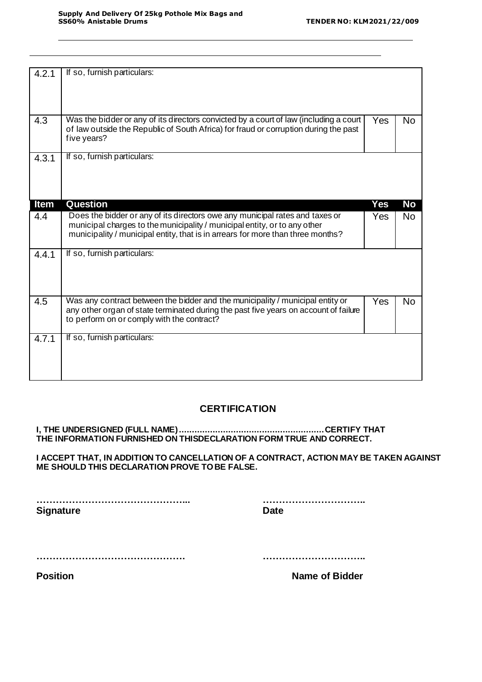| 4.2.1       | If so, furnish particulars:                                                           |     |                |
|-------------|---------------------------------------------------------------------------------------|-----|----------------|
|             |                                                                                       |     |                |
|             |                                                                                       |     |                |
|             |                                                                                       |     |                |
|             |                                                                                       |     |                |
| 4.3         | Was the bidder or any of its directors convicted by a court of law (including a court | Yes | N <sub>o</sub> |
|             | of law outside the Republic of South Africa) for fraud or corruption during the past  |     |                |
|             |                                                                                       |     |                |
|             | five years?                                                                           |     |                |
|             |                                                                                       |     |                |
| 4.3.1       | If so, furnish particulars:                                                           |     |                |
|             |                                                                                       |     |                |
|             |                                                                                       |     |                |
|             |                                                                                       |     |                |
|             |                                                                                       |     |                |
| <b>Item</b> | <b>Question</b>                                                                       | Yes | No             |
|             |                                                                                       |     |                |
| 4.4         | Does the bidder or any of its directors owe any municipal rates and taxes or          | Yes | <b>No</b>      |
|             | municipal charges to the municipality / municipal entity, or to any other             |     |                |
|             | municipality / municipal entity, that is in arrears for more than three months?       |     |                |
|             |                                                                                       |     |                |
| 4.4.1       | If so, furnish particulars:                                                           |     |                |
|             |                                                                                       |     |                |
|             |                                                                                       |     |                |
|             |                                                                                       |     |                |
|             |                                                                                       |     |                |
|             |                                                                                       |     |                |
| 4.5         | Was any contract between the bidder and the municipality / municipal entity or        | Yes | <b>No</b>      |
|             | any other organ of state terminated during the past five years on account of failure  |     |                |
|             | to perform on or comply with the contract?                                            |     |                |
|             |                                                                                       |     |                |
| 4.7.1       | If so, furnish particulars:                                                           |     |                |
|             |                                                                                       |     |                |
|             |                                                                                       |     |                |
|             |                                                                                       |     |                |
|             |                                                                                       |     |                |
|             |                                                                                       |     |                |

### **CERTIFICATION**

**I, THE UNDERSIGNED (FULL NAME)........................................................CERTIFY THAT THE INFORMATION FURNISHED ON THISDECLARATION FORM TRUE AND CORRECT.**

**I ACCEPT THAT, IN ADDITION TO CANCELLATION OF A CONTRACT, ACTION MAY BE TAKEN AGAINST ME SHOULD THIS DECLARATION PROVE TO BE FALSE.**

**………………………………………... ………………………….. Signature Date** 

**………………………………………. …………………………..** 

**Position Name of Bidder**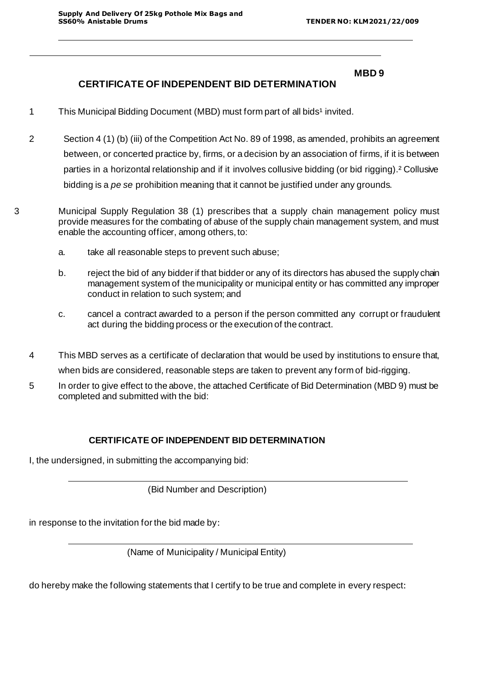### **MBD 9**

# **CERTIFICATE OF INDEPENDENT BID DETERMINATION**

- 1 This Municipal Bidding Document (MBD) must form part of all bids<sup>1</sup> invited.
- 2 Section 4 (1) (b) (iii) of the Competition Act No. 89 of 1998, as amended, prohibits an agreement between, or concerted practice by, firms, or a decision by an association of firms, if it is between parties in a horizontal relationship and if it involves collusive bidding (or bid rigging).² Collusive bidding is a *pe se* prohibition meaning that it cannot be justified under any grounds.
- 3 Municipal Supply Regulation 38 (1) prescribes that a supply chain management policy must provide measures for the combating of abuse of the supply chain management system, and must enable the accounting officer, among others, to:
	- a. take all reasonable steps to prevent such abuse;
	- b. reject the bid of any bidder if that bidder or any of its directors has abused the supply chain management system of the municipality or municipal entity or has committed any improper conduct in relation to such system; and
	- c. cancel a contract awarded to a person if the person committed any corrupt or fraudulent act during the bidding process or the execution of the contract.
	- 4 This MBD serves as a certificate of declaration that would be used by institutions to ensure that, when bids are considered, reasonable steps are taken to prevent any form of bid-rigging.
	- 5 In order to give effect to the above, the attached Certificate of Bid Determination (MBD 9) must be completed and submitted with the bid:

#### **CERTIFICATE OF INDEPENDENT BID DETERMINATION**

I, the undersigned, in submitting the accompanying bid:

(Bid Number and Description)

in response to the invitation for the bid made by:

(Name of Municipality / Municipal Entity)

do hereby make the following statements that I certify to be true and complete in every respect: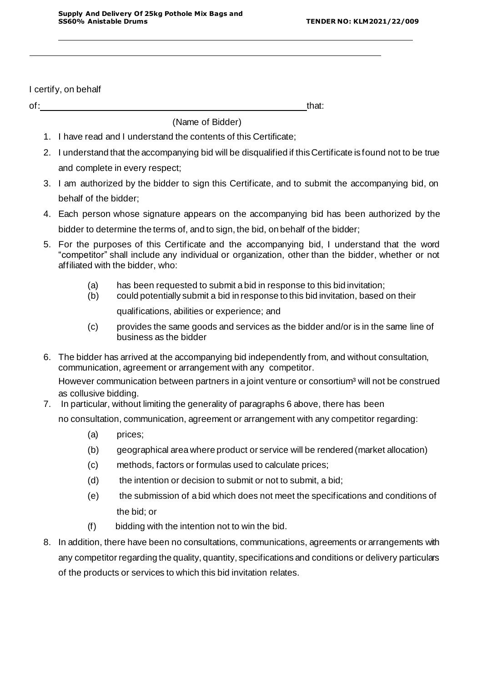I certify, on behalf

of: <u>that: that: that: that: that: that: that: that: that: that: that: that: that: that: that: that: that: that: that: that: that: that: that: that: that: that: that: that: that: that: that: that: that: that: that: that: t</u>

(Name of Bidder)

- 1. I have read and I understand the contents of this Certificate;
- 2. I understand that the accompanying bid will be disqualified if this Certificate is found not to be true and complete in every respect;
- 3. I am authorized by the bidder to sign this Certificate, and to submit the accompanying bid, on behalf of the bidder;
- 4. Each person whose signature appears on the accompanying bid has been authorized by the bidder to determine the terms of, and to sign, the bid, on behalf of the bidder;
- 5. For the purposes of this Certificate and the accompanying bid, I understand that the word "competitor" shall include any individual or organization, other than the bidder, whether or not affiliated with the bidder, who:
	- (a) has been requested to submit a bid in response to this bid invitation;
	- (b) could potentially submit a bid in response to this bid invitation, based on their

qualifications, abilities or experience; and

- (c) provides the same goods and services as the bidder and/or is in the same line of business as the bidder
- 6. The bidder has arrived at the accompanying bid independently from, and without consultation, communication, agreement or arrangement with any competitor.

However communication between partners in a joint venture or consortium<sup>3</sup> will not be construed as collusive bidding.

7. In particular, without limiting the generality of paragraphs 6 above, there has been

no consultation, communication, agreement or arrangement with any competitor regarding:

- (a) prices;
- (b) geographical area where product or service will be rendered (market allocation)
- (c) methods, factors or formulas used to calculate prices;
- (d) the intention or decision to submit or not to submit, a bid;
- (e) the submission of a bid which does not meet the specifications and conditions of the bid; or
- (f) bidding with the intention not to win the bid.
- 8. In addition, there have been no consultations, communications, agreements or arrangements with any competitor regarding the quality, quantity, specifications and conditions or delivery particulars of the products or services to which this bid invitation relates.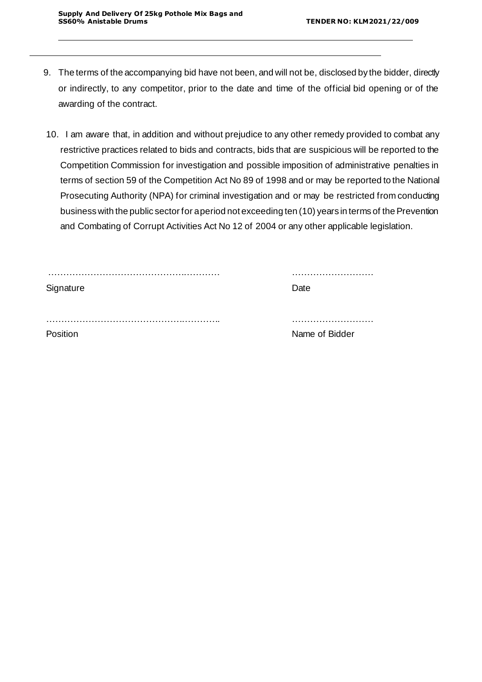- 9. The terms of the accompanying bid have not been, and will not be, disclosed by the bidder, directly or indirectly, to any competitor, prior to the date and time of the official bid opening or of the awarding of the contract.
- 10. I am aware that, in addition and without prejudice to any other remedy provided to combat any restrictive practices related to bids and contracts, bids that are suspicious will be reported to the Competition Commission for investigation and possible imposition of administrative penalties in terms of section 59 of the Competition Act No 89 of 1998 and or may be reported to the National Prosecuting Authority (NPA) for criminal investigation and or may be restricted from conducting business with the public sector for a period not exceeding ten (10) years in terms of the Prevention and Combating of Corrupt Activities Act No 12 of 2004 or any other applicable legislation.

| Signature | Date           |
|-----------|----------------|
|           |                |
| Position  | Name of Bidder |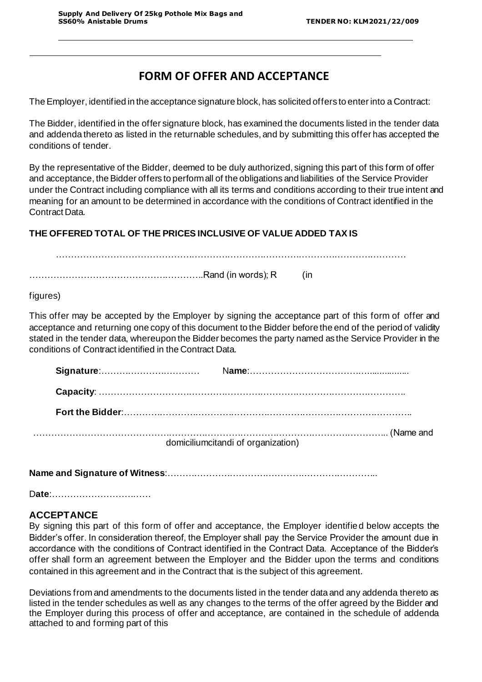# **FORM OF OFFER AND ACCEPTANCE**

TheEmployer, identified in the acceptance signature block, has solicited offers to enter into a Contract:

The Bidder, identified in the offer signature block, has examined the documents listed in the tender data and addenda thereto as listed in the returnable schedules, and by submitting this offer has accepted the conditions of tender.

By the representative of the Bidder, deemed to be duly authorized, signing this part of this form of offer and acceptance, the Bidder offers to perform all of the obligations and liabilities of the Service Provider under the Contract including compliance with all its terms and conditions according to their true intent and meaning for an amount to be determined in accordance with the conditions of Contract identified in the Contract Data.

# **THE OFFERED TOTAL OF THE PRICES INCLUSIVE OF VALUE ADDED TAX IS**

……………………………………………………………………………………………………… ………………………………………………….Rand (in words); R (in

figures)

This offer may be accepted by the Employer by signing the acceptance part of this form of offer and acceptance and returning one copy of this document to the Bidder before the end of the period of validity stated in the tender data, whereupon the Bidder becomes the party named as the Service Provider in the conditions of Contract identified in the Contract Data.

|  | domiciliumcitandi of organization) |
|--|------------------------------------|

**Name and Signature of Witness**:……………………………………………………………..

D**ate**:……………………………

# **ACCEPTANCE**

By signing this part of this form of offer and acceptance, the Employer identified below accepts the Bidder's offer. In consideration thereof, the Employer shall pay the Service Provider the amount due in accordance with the conditions of Contract identified in the Contract Data. Acceptance of the Bidder's offer shall form an agreement between the Employer and the Bidder upon the terms and conditions contained in this agreement and in the Contract that is the subject of this agreement.

Deviations from and amendments to the documents listed in the tender data and any addenda thereto as listed in the tender schedules as well as any changes to the terms of the offer agreed by the Bidder and the Employer during this process of offer and acceptance, are contained in the schedule of addenda attached to and forming part of this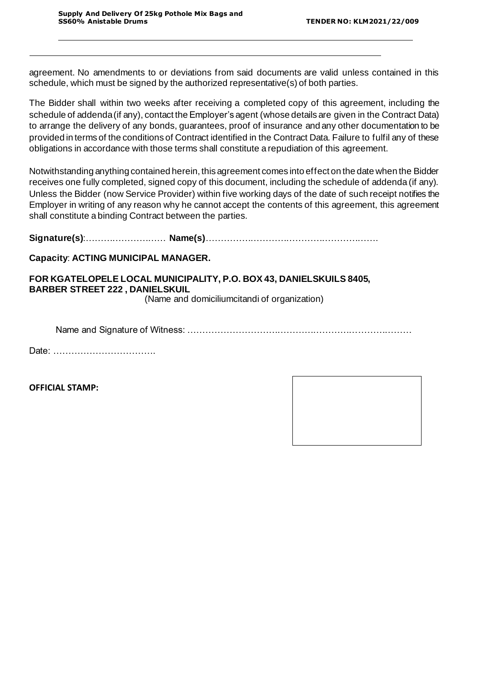agreement. No amendments to or deviations from said documents are valid unless contained in this schedule, which must be signed by the authorized representative(s) of both parties.

The Bidder shall within two weeks after receiving a completed copy of this agreement, including the schedule of addenda (if any), contact the Employer's agent (whose details are given in the Contract Data) to arrange the delivery of any bonds, guarantees, proof of insurance and any other documentation to be provided in terms of the conditions of Contract identified in the Contract Data. Failure to fulfil any of these obligations in accordance with those terms shall constitute a repudiation of this agreement.

Notwithstanding anything contained herein, this agreement comes into effect on the date when the Bidder receives one fully completed, signed copy of this document, including the schedule of addenda (if any). Unless the Bidder (now Service Provider) within five working days of the date of such receipt notifies the Employer in writing of any reason why he cannot accept the contents of this agreement, this agreement shall constitute a binding Contract between the parties.

**Signature(s)**:……………………… **Name(s)**………………………………………………….

# **Capacity**: **ACTING MUNICIPAL MANAGER.**

# **FOR KGATELOPELE LOCAL MUNICIPALITY, P.O. BOX 43, DANIELSKUILS 8405, BARBER STREET 222 , DANIELSKUIL**

(Name and domiciliumcitandi of organization)

Name and Signature of Witness: …………………………………………………………………

Date: …………………………….

**OFFICIAL STAMP:**

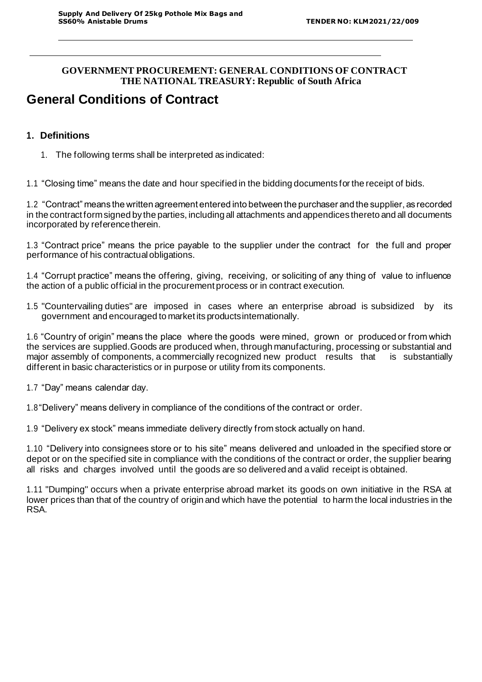# **GOVERNMENT PROCUREMENT: GENERAL CONDITIONS OF CONTRACT THE NATIONAL TREASURY: Republic of South Africa**

# **General Conditions of Contract**

# **1. Definitions**

1. The following terms shall be interpreted as indicated:

1.1 "Closing time" means the date and hour specified in the bidding documents for the receipt of bids.

1.2 "Contract" means the written agreement entered into between the purchaser and the supplier, as recorded in the contract form signed by the parties, including all attachments and appendices thereto and all documents incorporated by reference therein.

1.3 "Contract price" means the price payable to the supplier under the contract for the full and proper performance of his contractual obligations.

1.4 "Corrupt practice" means the offering, giving, receiving, or soliciting of any thing of value to influence the action of a public official in the procurement process or in contract execution.

1.5 "Countervailing duties" are imposed in cases where an enterprise abroad is subsidized by its government and encouraged to market its productsinternationally.

1.6 "Country of origin" means the place where the goods were mined, grown or produced or from which the services are supplied.Goods are produced when, through manufacturing, processing or substantial and major assembly of components, a commercially recognized new product results that is substantially different in basic characteristics or in purpose or utility from its components.

1.7 "Day" means calendar day.

1.8"Delivery" means delivery in compliance of the conditions of the contract or order.

1.9 "Delivery ex stock" means immediate delivery directly from stock actually on hand.

1.10 "Delivery into consignees store or to his site" means delivered and unloaded in the specified store or depot or on the specified site in compliance with the conditions of the contract or order, the supplier bearing all risks and charges involved until the goods are so delivered and a valid receipt is obtained.

1.11 "Dumping" occurs when a private enterprise abroad market its goods on own initiative in the RSA at lower prices than that of the country of origin and which have the potential to harm the local industries in the RSA.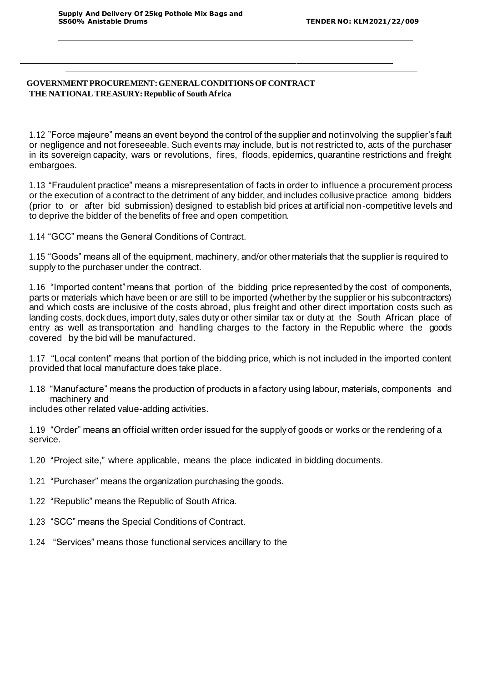#### **GOVERNMENT PROCUREMENT: GENERAL CONDITIONS OF CONTRACT THE NATIONAL TREASURY: Republic of South Africa**

1.12 "Force majeure" means an event beyond the control of the supplier and not involving the supplier's fault or negligence and not foreseeable. Such events may include, but is not restricted to, acts of the purchaser in its sovereign capacity, wars or revolutions, fires, floods, epidemics, quarantine restrictions and freight embargoes.

1.13 "Fraudulent practice" means a misrepresentation of facts in order to influence a procurement process or the execution of a contract to the detriment of any bidder, and includes collusive practice among bidders (prior to or after bid submission) designed to establish bid prices at artificial non-competitive levels and to deprive the bidder of the benefits of free and open competition.

1.14 "GCC" means the General Conditions of Contract.

1.15 "Goods" means all of the equipment, machinery, and/or other materials that the supplier is required to supply to the purchaser under the contract.

1.16 "Imported content" means that portion of the bidding price represented by the cost of components, parts or materials which have been or are still to be imported (whether by the supplier or his subcontractors) and which costs are inclusive of the costs abroad, plus freight and other direct importation costs such as landing costs, dock dues, import duty, sales duty or other similar tax or duty at the South African place of entry as well as transportation and handling charges to the factory in the Republic where the goods covered by the bid will be manufactured.

1.17 "Local content" means that portion of the bidding price, which is not included in the imported content provided that local manufacture does take place.

1.18 "Manufacture" means the production of products in a factory using labour, materials, components and machinery and

includes other related value-adding activities.

1.19 "Order" means an official written order issued for the supply of goods or works or the rendering of a service.

- 1.20 "Project site," where applicable, means the place indicated in bidding documents.
- 1.21 "Purchaser" means the organization purchasing the goods.
- 1.22 "Republic" means the Republic of South Africa.
- 1.23 "SCC" means the Special Conditions of Contract.
- 1.24 "Services" means those functional services ancillary to the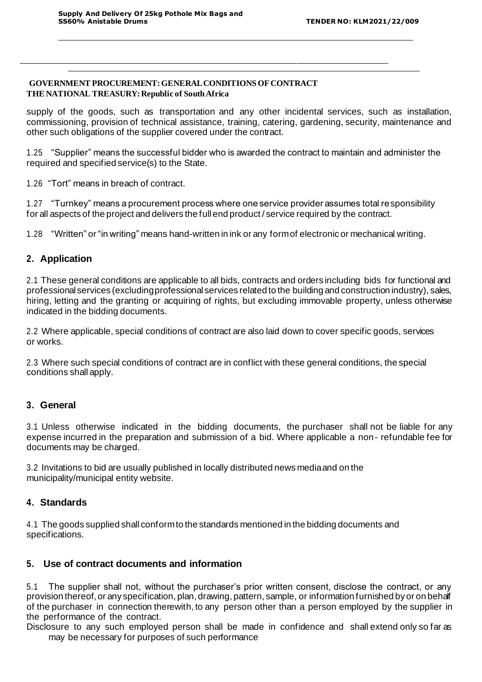#### **GOVERNMENT PROCUREMENT: GENERAL CONDITIONS OF CONTRACT THE NATIONAL TREASURY: Republic of South Africa**

supply of the goods, such as transportation and any other incidental services, such as installation, commissioning, provision of technical assistance, training, catering, gardening, security, maintenance and other such obligations of the supplier covered under the contract.

1.25 "Supplier" means the successful bidder who is awarded the contract to maintain and administer the required and specified service(s) to the State.

1.26 "Tort" means in breach of contract.

1.27 "Turnkey" means a procurement process where one service provider assumes total responsibility for all aspects of the project and delivers the full end product / service required by the contract.

1.28 "Written" or "in writing" means hand-written in ink or any formof electronic or mechanical writing.

# **2. Application**

2.1 These general conditions are applicable to all bids, contracts and orders including bids for functional and professional services (excluding professional services related to the building and construction industry), sales, hiring, letting and the granting or acquiring of rights, but excluding immovable property, unless otherwise indicated in the bidding documents.

2.2 Where applicable, special conditions of contract are also laid down to cover specific goods, services or works.

2.3 Where such special conditions of contract are in conflict with these general conditions, the special conditions shall apply.

#### **3. General**

3.1 Unless otherwise indicated in the bidding documents, the purchaser shall not be liable for any expense incurred in the preparation and submission of a bid. Where applicable a non- refundable fee for documents may be charged.

3.2 Invitations to bid are usually published in locally distributed news mediaand on the municipality/municipal entity website.

#### **4. Standards**

4.1 The goods supplied shall conformto the standards mentioned in the bidding documents and specifications.

# **5. Use of contract documents and information**

5.1 The supplier shall not, without the purchaser's prior written consent, disclose the contract, or any provision thereof, or any specification, plan, drawing, pattern, sample, or information furnished by or on behalf of the purchaser in connection therewith, to any person other than a person employed by the supplier in the performance of the contract.

Disclosure to any such employed person shall be made in confidence and shall extend only so far as may be necessary for purposes of such performance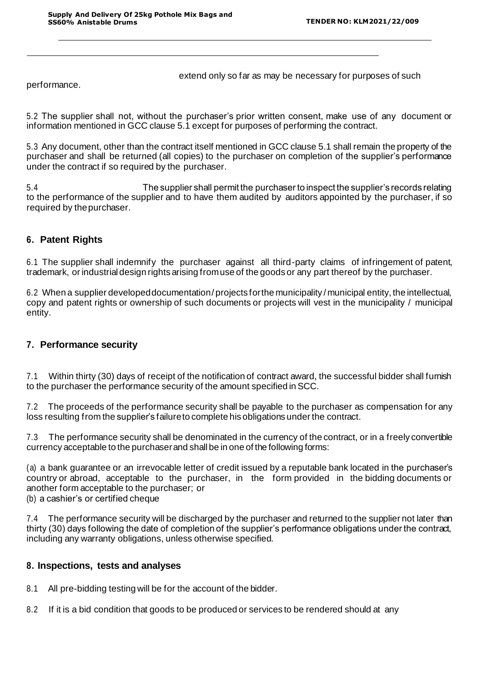extend only so far as may be necessary for purposes of such

performance.

5.2 The supplier shall not, without the purchaser's prior written consent, make use of any document or information mentioned in GCC clause 5.1 except for purposes of performing the contract.

5.3 Any document, other than the contract itself mentioned in GCC clause 5.1 shall remain the property of the purchaser and shall be returned (all copies) to the purchaser on completion of the supplier's performance under the contract if so required by the purchaser.

5.4 The supplier shall permit the purchaser to inspect the supplier's records relating to the performance of the supplier and to have them audited by auditors appointed by the purchaser, if so required by thepurchaser.

# **6. Patent Rights**

6.1 The supplier shall indemnify the purchaser against all third-party claims of infringement of patent, trademark, or industrial design rights arising fromuse of the goods or any part thereof by the purchaser.

6.2 When a supplier developed documentation / projects for the municipality / municipal entity, the intellectual, copy and patent rights or ownership of such documents or projects will vest in the municipality / municipal entity.

### **7. Performance security**

7.1 Within thirty (30) days of receipt of the notification of contract award, the successful bidder shall furnish to the purchaser the performance security of the amount specified in SCC.

7.2 The proceeds of the performance security shall be payable to the purchaser as compensation for any loss resulting from the supplier's failureto complete his obligations under the contract.

7.3 The performance security shall be denominated in the currency of the contract, or in a freely convertible currency acceptable to the purchaserand shallbe in one of the following forms:

(a) a bank guarantee or an irrevocable letter of credit issued by a reputable bank located in the purchaser's country or abroad, acceptable to the purchaser, in the form provided in the bidding documents or another form acceptable to the purchaser; or

(b) a cashier's or certified cheque

7.4 The performance security will be discharged by the purchaser and returned to the supplier not later than thirty (30) days following the date of completion of the supplier's performance obligations under the contract, including any warranty obligations, unless otherwise specified.

#### **8. Inspections, tests and analyses**

8.1 All pre-bidding testing will be for the account of the bidder.

8.2 If it is a bid condition that goods to be produced or services to be rendered should at any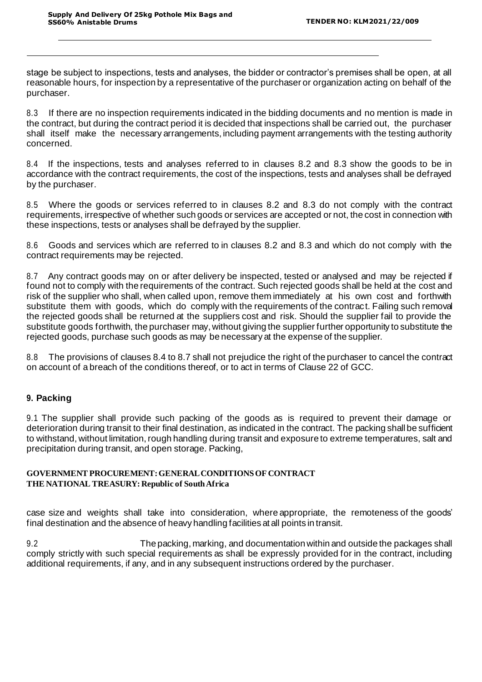stage be subject to inspections, tests and analyses, the bidder or contractor's premises shall be open, at all reasonable hours, for inspection by a representative of the purchaser or organization acting on behalf of the purchaser.

8.3 If there are no inspection requirements indicated in the bidding documents and no mention is made in the contract, but during the contract period it is decided that inspections shall be carried out, the purchaser shall itself make the necessary arrangements, including payment arrangements with the testing authority concerned.

8.4 If the inspections, tests and analyses referred to in clauses 8.2 and 8.3 show the goods to be in accordance with the contract requirements, the cost of the inspections, tests and analyses shall be defrayed by the purchaser.

8.5 Where the goods or services referred to in clauses 8.2 and 8.3 do not comply with the contract requirements, irrespective of whether such goods or services are accepted or not, the cost in connection with these inspections, tests or analyses shall be defrayed by the supplier.

8.6 Goods and services which are referred to in clauses 8.2 and 8.3 and which do not comply with the contract requirements may be rejected.

8.7 Any contract goods may on or after delivery be inspected, tested or analysed and may be rejected if found not to comply with the requirements of the contract. Such rejected goods shall be held at the cost and risk of the supplier who shall, when called upon, remove them immediately at his own cost and forthwith substitute them with goods, which do comply with the requirements of the contract. Failing such removal the rejected goods shall be returned at the suppliers cost and risk. Should the supplier fail to provide the substitute goods forthwith, the purchaser may, without giving the supplier further opportunity to substitute the rejected goods, purchase such goods as may be necessary at the expense of the supplier.

8.8 The provisions of clauses 8.4 to 8.7 shall not prejudice the right of the purchaser to cancel the contract on account of a breach of the conditions thereof, or to act in terms of Clause 22 of GCC.

#### **9. Packing**

9.1 The supplier shall provide such packing of the goods as is required to prevent their damage or deterioration during transit to their final destination, as indicated in the contract. The packing shall be sufficient to withstand, without limitation, rough handling during transit and exposure to extreme temperatures, salt and precipitation during transit, and open storage. Packing,

#### **GOVERNMENT PROCUREMENT: GENERAL CONDITIONS OF CONTRACT THE NATIONAL TREASURY: Republic of South Africa**

case size and weights shall take into consideration, where appropriate, the remoteness of the goods' final destination and the absence of heavy handling facilities at all points in transit.

9.2 The packing, marking, and documentation within and outside the packages shall comply strictly with such special requirements as shall be expressly provided for in the contract, including additional requirements, if any, and in any subsequent instructions ordered by the purchaser.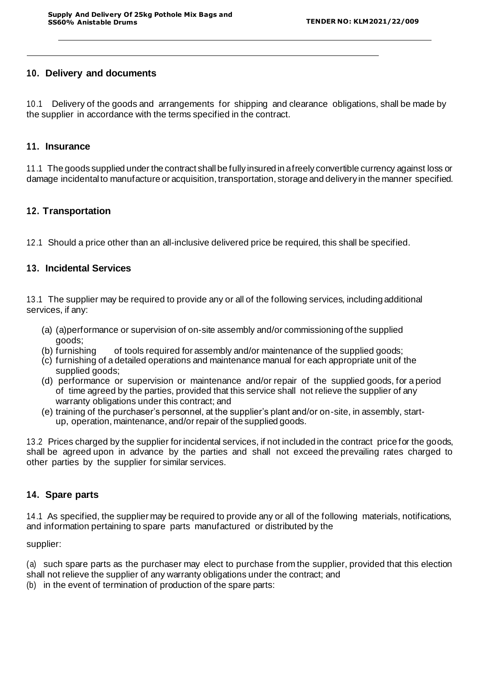### **10. Delivery and documents**

10.1 Delivery of the goods and arrangements for shipping and clearance obligations, shall be made by the supplier in accordance with the terms specified in the contract.

#### **11. Insurance**

11.1 The goods supplied under the contract shallbe fully insured in afreely convertible currency against loss or damage incidental to manufacture or acquisition, transportation, storage and delivery in the manner specified.

# **12. Transportation**

12.1 Should a price other than an all-inclusive delivered price be required, this shall be specified.

### **13. Incidental Services**

13.1 The supplier may be required to provide any or all of the following services, including additional services, if any:

- (a) (a) performance or supervision of on-site assembly and/or commissioning of the supplied
- goods;<br>b) furnishing) of tools required for assembly and/or maintenance of the supplied goods;
- (c) furnishing of a detailed operations and maintenance manual for each appropriate unit of the supplied goods;
- (d) performance or supervision or maintenance and/or repair of the supplied goods, for a period of time agreed by the parties, provided that this service shall not relieve the supplier of any warranty obligations under this contract; and
- (e) training of the purchaser's personnel, at the supplier's plant and/or on-site, in assembly, startup, operation, maintenance, and/or repair of the supplied goods.

13.2 Prices charged by the supplier for incidental services, if not included in the contract price for the goods, shall be agreed upon in advance by the parties and shall not exceed the prevailing rates charged to other parties by the supplier for similar services.

#### **14. Spare parts**

14.1 As specified, the supplier may be required to provide any or all of the following materials, notifications, and information pertaining to spare parts manufactured or distributed by the

supplier:

(a) such spare parts as the purchaser may elect to purchase from the supplier, provided that this election shall not relieve the supplier of any warranty obligations under the contract; and

(b) in the event of termination of production of the spare parts: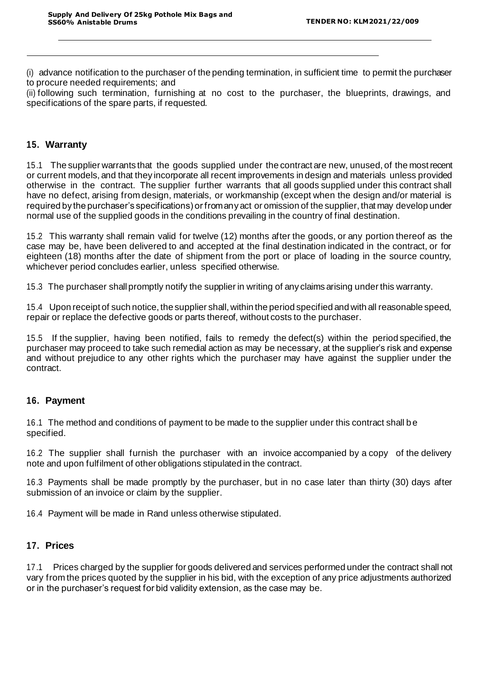(i) advance notification to the purchaser of the pending termination, in sufficient time to permit the purchaser to procure needed requirements; and

(ii) following such termination, furnishing at no cost to the purchaser, the blueprints, drawings, and specifications of the spare parts, if requested.

### **15. Warranty**

15.1 The supplier warrants that the goods supplied under the contract are new, unused, of the mostrecent or current models, and that they incorporate all recent improvements in design and materials unless provided otherwise in the contract. The supplier further warrants that all goods supplied under this contract shall have no defect, arising from design, materials, or workmanship (except when the design and/or material is required by the purchaser's specifications) or from any act or omission of the supplier, that may develop under normal use of the supplied goods in the conditions prevailing in the country of final destination.

15.2 This warranty shall remain valid for twelve (12) months after the goods, or any portion thereof as the case may be, have been delivered to and accepted at the final destination indicated in the contract, or for eighteen (18) months after the date of shipment from the port or place of loading in the source country, whichever period concludes earlier, unless specified otherwise.

15.3 The purchaser shall promptly notify the supplier in writing of any claims arising under this warranty.

15.4 Upon receipt of such notice, the supplier shall, within the period specified and with all reasonable speed, repair or replace the defective goods or parts thereof, without costs to the purchaser.

15.5 If the supplier, having been notified, fails to remedy the defect(s) within the period specified, the purchaser may proceed to take such remedial action as may be necessary, at the supplier's risk and expense and without prejudice to any other rights which the purchaser may have against the supplier under the contract.

#### **16. Payment**

16.1 The method and conditions of payment to be made to the supplier under this contract shall be specified.

16.2 The supplier shall furnish the purchaser with an invoice accompanied by a copy of the delivery note and upon fulfilment of other obligations stipulated in the contract.

16.3 Payments shall be made promptly by the purchaser, but in no case later than thirty (30) days after submission of an invoice or claim by the supplier.

16.4 Payment will be made in Rand unless otherwise stipulated.

#### **17. Prices**

17.1 Prices charged by the supplier for goods delivered and services performed under the contract shall not vary from the prices quoted by the supplier in his bid, with the exception of any price adjustments authorized or in the purchaser's request for bid validity extension, as the case may be.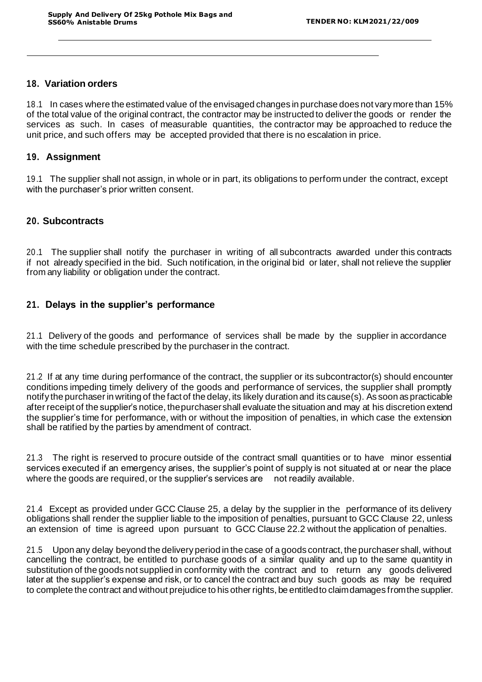### **18. Variation orders**

18.1 In cases where the estimated value of the envisaged changes in purchase does not vary more than 15% of the total value of the original contract, the contractor may be instructed to deliver the goods or render the services as such. In cases of measurable quantities, the contractor may be approached to reduce the unit price, and such offers may be accepted provided that there is no escalation in price.

### **19. Assignment**

19.1 The supplier shall not assign, in whole or in part, its obligations to perform under the contract, except with the purchaser's prior written consent.

# **20. Subcontracts**

20.1 The supplier shall notify the purchaser in writing of all subcontracts awarded under this contracts if not already specified in the bid. Such notification, in the original bid or later, shall not relieve the supplier from any liability or obligation under the contract.

# **21. Delays in the supplier's performance**

21.1 Delivery of the goods and performance of services shall be made by the supplier in accordance with the time schedule prescribed by the purchaser in the contract.

21.2 If at any time during performance of the contract, the supplier or its subcontractor(s) should encounter conditions impeding timely delivery of the goods and performance of services, the supplier shall promptly notify the purchaser in writing of the fact of the delay, its likely duration and its cause(s). As soon as practicable after receipt of the supplier's notice, thepurchasershall evaluate the situation and may at his discretion extend the supplier's time for performance, with or without the imposition of penalties, in which case the extension shall be ratified by the parties by amendment of contract.

21.3 The right is reserved to procure outside of the contract small quantities or to have minor essential services executed if an emergency arises, the supplier's point of supply is not situated at or near the place where the goods are required, or the supplier's services are not readily available.

21.4 Except as provided under GCC Clause 25, a delay by the supplier in the performance of its delivery obligations shall render the supplier liable to the imposition of penalties, pursuant to GCC Clause 22, unless an extension of time is agreed upon pursuant to GCC Clause 22.2 without the application of penalties.

21.5 Upon any delay beyond the delivery period in the case of a goods contract, the purchaser shall, without cancelling the contract, be entitled to purchase goods of a similar quality and up to the same quantity in substitution of the goods not supplied in conformity with the contract and to return any goods delivered later at the supplier's expense and risk, or to cancel the contract and buy such goods as may be required to complete the contract and without prejudice to his other rights, be entitledto claimdamages fromthe supplier.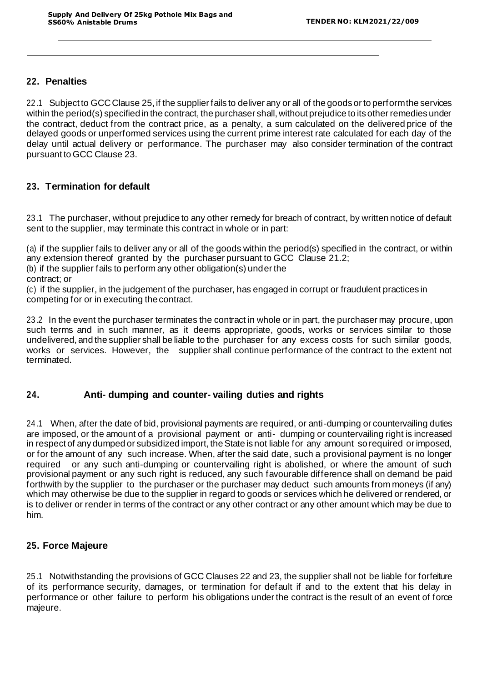#### **22. Penalties**

22.1 Subject to GCC Clause 25, if the supplier fails to deliver any or all of the goods or to perform the services within the period(s) specified in the contract, the purchaser shall, without prejudice to its other remedies under the contract, deduct from the contract price, as a penalty, a sum calculated on the delivered price of the delayed goods or unperformed services using the current prime interest rate calculated for each day of the delay until actual delivery or performance. The purchaser may also consider termination of the contract pursuant to GCC Clause 23.

# **23. Termination for default**

23.1 The purchaser, without prejudice to any other remedy for breach of contract, by written notice of default sent to the supplier, may terminate this contract in whole or in part:

(a) if the supplier fails to deliver any or all of the goods within the period(s) specified in the contract, or within any extension thereof granted by the purchaser pursuant to GCC Clause 21.2;

(b) if the supplier fails to perform any other obligation(s) under the

contract; or

(c) if the supplier, in the judgement of the purchaser, has engaged in corrupt or fraudulent practices in competing for or in executing thecontract.

23.2 In the event the purchaser terminates the contract in whole or in part, the purchaser may procure, upon such terms and in such manner, as it deems appropriate, goods, works or services similar to those undelivered, and the supplier shall be liable to the purchaser for any excess costs for such similar goods, works or services. However, the supplier shall continue performance of the contract to the extent not terminated.

#### **24. Anti- dumping and counter- vailing duties and rights**

24.1 When, after the date of bid, provisional payments are required, or anti-dumping or countervailing duties are imposed, or the amount of a provisional payment or anti- dumping or countervailing right is increased in respect of any dumped or subsidized import, the State is not liable for any amount so required or imposed, or for the amount of any such increase. When, after the said date, such a provisional payment is no longer required or any such anti-dumping or countervailing right is abolished, or where the amount of such provisional payment or any such right is reduced, any such favourable difference shall on demand be paid forthwith by the supplier to the purchaser or the purchaser may deduct such amounts from moneys (if any) which may otherwise be due to the supplier in regard to goods or services which he delivered or rendered, or is to deliver or render in terms of the contract or any other contract or any other amount which may be due to him.

#### **25. Force Majeure**

25.1 Notwithstanding the provisions of GCC Clauses 22 and 23, the supplier shall not be liable for forfeiture of its performance security, damages, or termination for default if and to the extent that his delay in performance or other failure to perform his obligations under the contract is the result of an event of force majeure.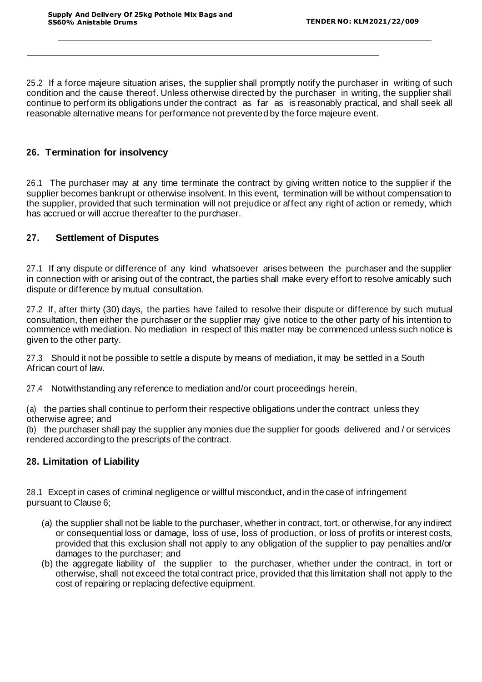25.2 If a force majeure situation arises, the supplier shall promptly notify the purchaser in writing of such condition and the cause thereof. Unless otherwise directed by the purchaser in writing, the supplier shall continue to perform its obligations under the contract as far as is reasonably practical, and shall seek all reasonable alternative means for performance not prevented by the force majeure event.

# **26. Termination for insolvency**

26.1 The purchaser may at any time terminate the contract by giving written notice to the supplier if the supplier becomes bankrupt or otherwise insolvent. In this event, termination will be without compensation to the supplier, provided that such termination will not prejudice or affect any right of action or remedy, which has accrued or will accrue thereafter to the purchaser.

# **27. Settlement of Disputes**

27.1 If any dispute or difference of any kind whatsoever arises between the purchaser and the supplier in connection with or arising out of the contract, the parties shall make every effort to resolve amicably such dispute or difference by mutual consultation.

27.2 If, after thirty (30) days, the parties have failed to resolve their dispute or difference by such mutual consultation, then either the purchaser or the supplier may give notice to the other party of his intention to commence with mediation. No mediation in respect of this matter may be commenced unless such notice is given to the other party.

27.3 Should it not be possible to settle a dispute by means of mediation, it may be settled in a South African court of law.

27.4 Notwithstanding any reference to mediation and/or court proceedings herein,

(a) the parties shall continue to perform their respective obligations under the contract unless they otherwise agree; and

(b) the purchaser shall pay the supplier any monies due the supplier for goods delivered and / or services rendered according to the prescripts of the contract.

#### **28. Limitation of Liability**

28.1 Except in cases of criminal negligence or willful misconduct, and in the case of infringement pursuant to Clause 6;

- (a) the supplier shall not be liable to the purchaser, whether in contract, tort, or otherwise, for any indirect or consequential loss or damage, loss of use, loss of production, or loss of profits or interest costs, provided that this exclusion shall not apply to any obligation of the supplier to pay penalties and/or damages to the purchaser; and
- (b) the aggregate liability of the supplier to the purchaser, whether under the contract, in tort or otherwise, shall not exceed the total contract price, provided that this limitation shall not apply to the cost of repairing or replacing defective equipment.